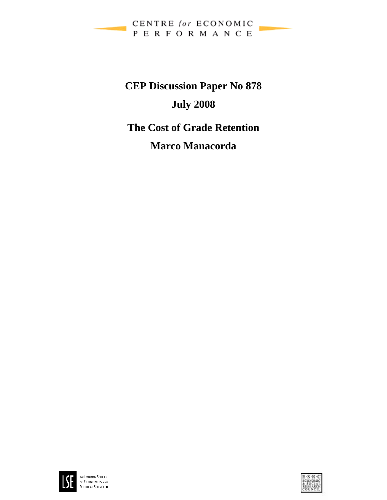

# **CEP Discussion Paper No 878 July 2008 The Cost of Grade Retention**

## **Marco Manacorda**



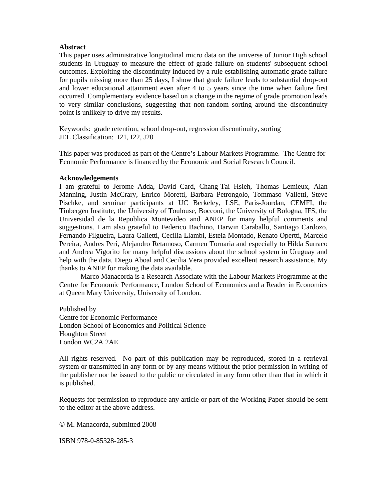#### **Abstract**

This paper uses administrative longitudinal micro data on the universe of Junior High school students in Uruguay to measure the effect of grade failure on students' subsequent school outcomes. Exploiting the discontinuity induced by a rule establishing automatic grade failure for pupils missing more than 25 days, I show that grade failure leads to substantial drop-out and lower educational attainment even after 4 to 5 years since the time when failure first occurred. Complementary evidence based on a change in the regime of grade promotion leads to very similar conclusions, suggesting that non-random sorting around the discontinuity point is unlikely to drive my results.

Keywords: grade retention, school drop-out, regression discontinuity, sorting JEL Classification: I21, I22, J20

This paper was produced as part of the Centre's Labour Markets Programme. The Centre for Economic Performance is financed by the Economic and Social Research Council.

#### **Acknowledgements**

I am grateful to Jerome Adda, David Card, Chang-Tai Hsieh, Thomas Lemieux, Alan Manning, Justin McCrary, Enrico Moretti, Barbara Petrongolo, Tommaso Valletti, Steve Pischke, and seminar participants at UC Berkeley, LSE, Paris-Jourdan, CEMFI, the Tinbergen Institute, the University of Toulouse, Bocconi, the University of Bologna, IFS, the Universidad de la Republica Montevideo and ANEP for many helpful comments and suggestions. I am also grateful to Federico Bachino, Darwin Caraballo, Santiago Cardozo, Fernando Filgueira, Laura Galletti, Cecilia Llambi, Estela Montado, Renato Opertti, Marcelo Pereira, Andres Peri, Alejandro Retamoso, Carmen Tornaria and especially to Hilda Surraco and Andrea Vigorito for many helpful discussions about the school system in Uruguay and help with the data. Diego Aboal and Cecilia Vera provided excellent research assistance. My thanks to ANEP for making the data available.

 Marco Manacorda is a Research Associate with the Labour Markets Programme at the Centre for Economic Performance, London School of Economics and a Reader in Economics at Queen Mary University, University of London.

Published by Centre for Economic Performance London School of Economics and Political Science Houghton Street London WC2A 2AE

All rights reserved. No part of this publication may be reproduced, stored in a retrieval system or transmitted in any form or by any means without the prior permission in writing of the publisher nor be issued to the public or circulated in any form other than that in which it is published.

Requests for permission to reproduce any article or part of the Working Paper should be sent to the editor at the above address.

© M. Manacorda, submitted 2008

ISBN 978-0-85328-285-3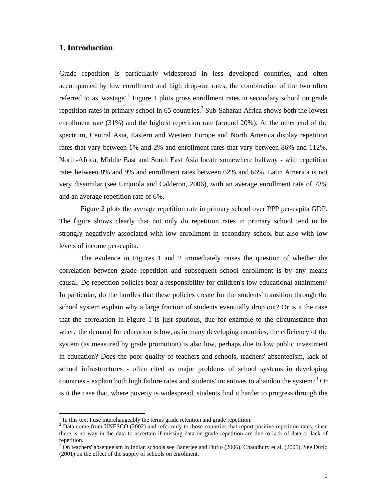#### **1. Introduction**

Grade repetition is particularly widespread in less developed countries, and often accompanied by low enrollment and high drop-out rates, the combination of the two often referred to as 'wastage'.<sup>1</sup> Figure 1 plots gross enrollment rates in secondary school on grade repetition rates in primary school in 65 countries.<sup>2</sup> Sub-Saharan Africa shows both the lowest enrollment rate (31%) and the highest repetition rate (around 20%). At the other end of the spectrum, Central Asia, Eastern and Western Europe and North America display repetition rates that vary between 1% and 2% and enrollment rates that vary between 86% and 112%. North-Africa, Middle East and South East Asia locate somewhere halfway - with repetition rates between 8% and 9% and enrollment rates between 62% and 66%. Latin America is not very dissimilar (see Urquiola and Calderon, 2006), with an average enrollment rate of 73% and an average repetition rate of 6%.

Figure 2 plots the average repetition rate in primary school over PPP per-capita GDP. The figure shows clearly that not only do repetition rates in primary school tend to be strongly negatively associated with low enrollment in secondary school but also with low levels of income per-capita.

The evidence in Figures 1 and 2 immediately raises the question of whether the correlation between grade repetition and subsequent school enrollment is by any means causal. Do repetition policies bear a responsibility for children's low educational attainment? In particular, do the hurdles that these policies create for the students' transition through the school system explain why a large fraction of students eventually drop out? Or is it the case that the correlation in Figure 1 is just spurious, due for example to the circumstance that where the demand for education is low, as in many developing countries, the efficiency of the system (as measured by grade promotion) is also low, perhaps due to low public investment in education? Does the poor quality of teachers and schools, teachers' absenteeism, lack of school infrastructures - often cited as major problems of school systems in developing countries - explain both high failure rates and students' incentives to abandon the system?<sup>3</sup> Or is it the case that, where poverty is widespread, students find it harder to progress through the

 $<sup>1</sup>$  In this text I use interchangeably the terms grade retention and grade repetition.</sup>

 $2$  Data come from UNESCO (2002) and refer only to those countries that report positive repetition rates, since there is no way in the data to ascertain if missing data on grade repetition are due to lack of data or lack of repetition.

<sup>&</sup>lt;sup>3</sup> On teachers' absenteeism in Indian schools see Banerjee and Duflo (2006), Chaudhury et al. (2005). See Duflo (2001) on the effect of the supply of schools on enrolment.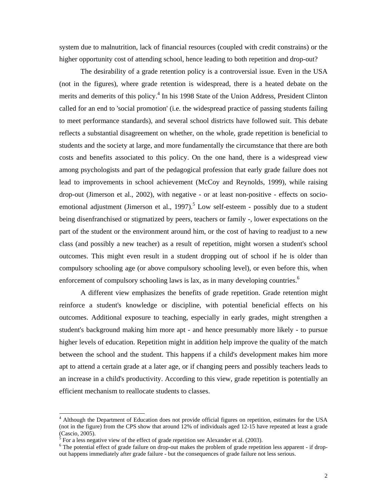system due to malnutrition, lack of financial resources (coupled with credit constrains) or the higher opportunity cost of attending school, hence leading to both repetition and drop-out?

The desirability of a grade retention policy is a controversial issue. Even in the USA (not in the figures), where grade retention is widespread, there is a heated debate on the merits and demerits of this policy.<sup>4</sup> In his 1998 State of the Union Address, President Clinton called for an end to 'social promotion' (i.e. the widespread practice of passing students failing to meet performance standards), and several school districts have followed suit. This debate reflects a substantial disagreement on whether, on the whole, grade repetition is beneficial to students and the society at large, and more fundamentally the circumstance that there are both costs and benefits associated to this policy. On the one hand, there is a widespread view among psychologists and part of the pedagogical profession that early grade failure does not lead to improvements in school achievement (McCoy and Reynolds, 1999), while raising drop-out (Jimerson et al., 2002), with negative - or at least non-positive - effects on socioemotional adjustment (Jimerson et al., 1997).<sup>5</sup> Low self-esteem - possibly due to a student being disenfranchised or stigmatized by peers, teachers or family -, lower expectations on the part of the student or the environment around him, or the cost of having to readjust to a new class (and possibly a new teacher) as a result of repetition, might worsen a student's school outcomes. This might even result in a student dropping out of school if he is older than compulsory schooling age (or above compulsory schooling level), or even before this, when enforcement of compulsory schooling laws is lax, as in many developing countries.<sup>6</sup>

A different view emphasizes the benefits of grade repetition. Grade retention might reinforce a student's knowledge or discipline, with potential beneficial effects on his outcomes. Additional exposure to teaching, especially in early grades, might strengthen a student's background making him more apt - and hence presumably more likely - to pursue higher levels of education. Repetition might in addition help improve the quality of the match between the school and the student. This happens if a child's development makes him more apt to attend a certain grade at a later age, or if changing peers and possibly teachers leads to an increase in a child's productivity. According to this view, grade repetition is potentially an efficient mechanism to reallocate students to classes.

<sup>&</sup>lt;sup>4</sup> Although the Department of Education does not provide official figures on repetition, estimates for the USA (not in the figure) from the CPS show that around 12% of individuals aged 12-15 have repeated at least a grade  $\frac{(Cascio, 2005)}{5}$ 

For a less negative view of the effect of grade repetition see Alexander et al. (2003).

<sup>&</sup>lt;sup>6</sup> The potential effect of grade failure on drop-out makes the problem of grade repetition less apparent - if dropout happens immediately after grade failure - but the consequences of grade failure not less serious.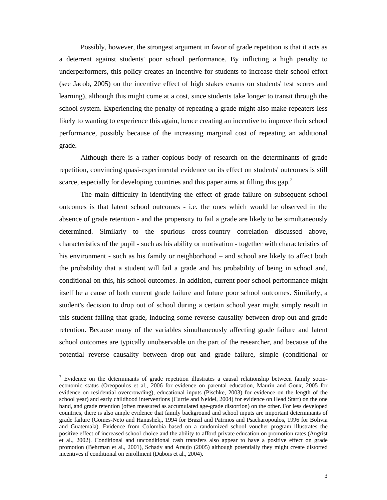Possibly, however, the strongest argument in favor of grade repetition is that it acts as a deterrent against students' poor school performance. By inflicting a high penalty to underperformers, this policy creates an incentive for students to increase their school effort (see Jacob, 2005) on the incentive effect of high stakes exams on students' test scores and learning), although this might come at a cost, since students take longer to transit through the school system. Experiencing the penalty of repeating a grade might also make repeaters less likely to wanting to experience this again, hence creating an incentive to improve their school performance, possibly because of the increasing marginal cost of repeating an additional grade.

Although there is a rather copious body of research on the determinants of grade repetition, convincing quasi-experimental evidence on its effect on students' outcomes is still scarce, especially for developing countries and this paper aims at filling this gap.<sup>7</sup>

The main difficulty in identifying the effect of grade failure on subsequent school outcomes is that latent school outcomes - i.e. the ones which would be observed in the absence of grade retention - and the propensity to fail a grade are likely to be simultaneously determined. Similarly to the spurious cross-country correlation discussed above, characteristics of the pupil - such as his ability or motivation - together with characteristics of his environment - such as his family or neighborhood – and school are likely to affect both the probability that a student will fail a grade and his probability of being in school and, conditional on this, his school outcomes. In addition, current poor school performance might itself be a cause of both current grade failure and future poor school outcomes. Similarly, a student's decision to drop out of school during a certain school year might simply result in this student failing that grade, inducing some reverse causality between drop-out and grade retention. Because many of the variables simultaneously affecting grade failure and latent school outcomes are typically unobservable on the part of the researcher, and because of the potential reverse causality between drop-out and grade failure, simple (conditional or

<sup>&</sup>lt;sup>7</sup> Evidence on the determinants of grade repetition illustrates a causal relationship between family socioeconomic status (Oreopoulos et al., 2006 for evidence on parental education, Maurin and Goux, 2005 for evidence on residential overcrowding), educational inputs (Pischke, 2003) for evidence on the length of the school year) and early childhood interventions (Currie and Neidel, 2004) for evidence on Head Start) on the one hand, and grade retention (often measured as accumulated age-grade distortion) on the other. For less developed countries, there is also ample evidence that family background and school inputs are important determinants of grade failure (Gomes-Neto and Hanushek,, 1994 for Brazil and Patrinos and Psacharopoulos, 1996 for Bolivia and Guatemala). Evidence from Colombia based on a randomized school voucher program illustrates the positive effect of increased school choice and the ability to afford private education on promotion rates (Angrist et al., 2002). Conditional and unconditional cash transfers also appear to have a positive effect on grade promotion (Behrman et al., 2001), Schady and Araujo (2005) although potentially they might create distorted incentives if conditional on enrollment (Dubois et al., 2004).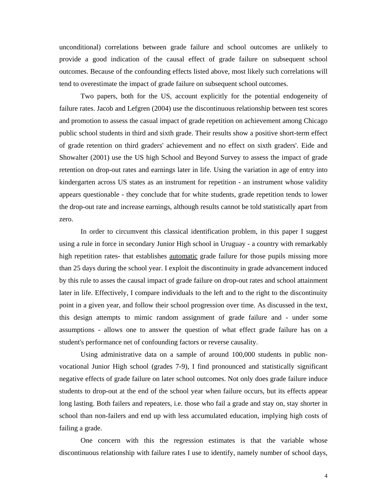unconditional) correlations between grade failure and school outcomes are unlikely to provide a good indication of the causal effect of grade failure on subsequent school outcomes. Because of the confounding effects listed above, most likely such correlations will tend to overestimate the impact of grade failure on subsequent school outcomes.

Two papers, both for the US, account explicitly for the potential endogeneity of failure rates. Jacob and Lefgren (2004) use the discontinuous relationship between test scores and promotion to assess the casual impact of grade repetition on achievement among Chicago public school students in third and sixth grade. Their results show a positive short-term effect of grade retention on third graders' achievement and no effect on sixth graders'. Eide and Showalter (2001) use the US high School and Beyond Survey to assess the impact of grade retention on drop-out rates and earnings later in life. Using the variation in age of entry into kindergarten across US states as an instrument for repetition - an instrument whose validity appears questionable - they conclude that for white students, grade repetition tends to lower the drop-out rate and increase earnings, although results cannot be told statistically apart from zero.

In order to circumvent this classical identification problem, in this paper I suggest using a rule in force in secondary Junior High school in Uruguay - a country with remarkably high repetition rates- that establishes <u>automatic</u> grade failure for those pupils missing more than 25 days during the school year. I exploit the discontinuity in grade advancement induced by this rule to asses the causal impact of grade failure on drop-out rates and school attainment later in life. Effectively, I compare individuals to the left and to the right to the discontinuity point in a given year, and follow their school progression over time. As discussed in the text, this design attempts to mimic random assignment of grade failure and - under some assumptions - allows one to answer the question of what effect grade failure has on a student's performance net of confounding factors or reverse causality.

Using administrative data on a sample of around 100,000 students in public nonvocational Junior High school (grades 7-9), I find pronounced and statistically significant negative effects of grade failure on later school outcomes. Not only does grade failure induce students to drop-out at the end of the school year when failure occurs, but its effects appear long lasting. Both failers and repeaters, i.e. those who fail a grade and stay on, stay shorter in school than non-failers and end up with less accumulated education, implying high costs of failing a grade.

One concern with this the regression estimates is that the variable whose discontinuous relationship with failure rates I use to identify, namely number of school days,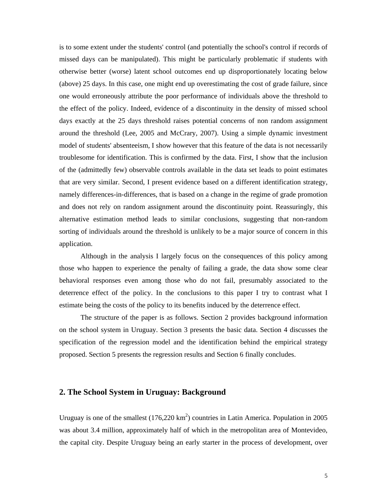is to some extent under the students' control (and potentially the school's control if records of missed days can be manipulated). This might be particularly problematic if students with otherwise better (worse) latent school outcomes end up disproportionately locating below (above) 25 days. In this case, one might end up overestimating the cost of grade failure, since one would erroneously attribute the poor performance of individuals above the threshold to the effect of the policy. Indeed, evidence of a discontinuity in the density of missed school days exactly at the 25 days threshold raises potential concerns of non random assignment around the threshold (Lee, 2005 and McCrary, 2007). Using a simple dynamic investment model of students' absenteeism, I show however that this feature of the data is not necessarily troublesome for identification. This is confirmed by the data. First, I show that the inclusion of the (admittedly few) observable controls available in the data set leads to point estimates that are very similar. Second, I present evidence based on a different identification strategy, namely differences-in-differences, that is based on a change in the regime of grade promotion and does not rely on random assignment around the discontinuity point. Reassuringly, this alternative estimation method leads to similar conclusions, suggesting that non-random sorting of individuals around the threshold is unlikely to be a major source of concern in this application.

Although in the analysis I largely focus on the consequences of this policy among those who happen to experience the penalty of failing a grade, the data show some clear behavioral responses even among those who do not fail, presumably associated to the deterrence effect of the policy. In the conclusions to this paper I try to contrast what I estimate being the costs of the policy to its benefits induced by the deterrence effect.

The structure of the paper is as follows. Section 2 provides background information on the school system in Uruguay. Section 3 presents the basic data. Section 4 discusses the specification of the regression model and the identification behind the empirical strategy proposed. Section 5 presents the regression results and Section 6 finally concludes.

#### **2. The School System in Uruguay: Background**

Uruguay is one of the smallest  $(176,220 \text{ km}^2)$  countries in Latin America. Population in 2005 was about 3.4 million, approximately half of which in the metropolitan area of Montevideo, the capital city. Despite Uruguay being an early starter in the process of development, over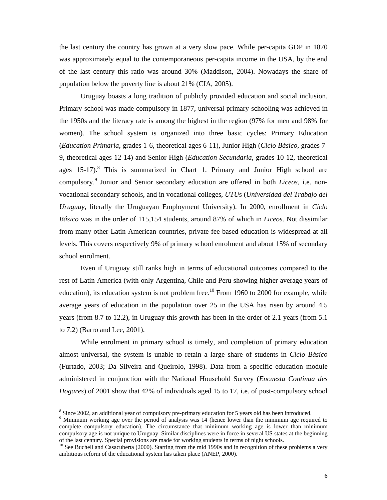the last century the country has grown at a very slow pace. While per-capita GDP in 1870 was approximately equal to the contemporaneous per-capita income in the USA, by the end of the last century this ratio was around 30% (Maddison, 2004). Nowadays the share of population below the poverty line is about 21% (CIA, 2005).

Uruguay boasts a long tradition of publicly provided education and social inclusion. Primary school was made compulsory in 1877, universal primary schooling was achieved in the 1950s and the literacy rate is among the highest in the region (97% for men and 98% for women). The school system is organized into three basic cycles: Primary Education (*Education Primaria*, grades 1-6, theoretical ages 6-11), Junior High (*Ciclo Básico,* grades 7- 9, theoretical ages 12-14) and Senior High (*Education Secundaria*, grades 10-12, theoretical ages  $15{\text -}17$ ).<sup>8</sup> This is summarized in Chart 1. Primary and Junior High school are compulsory.9 Junior and Senior secondary education are offered in both *Liceos*, i.e. nonvocational secondary schools, and in vocational colleges, *UTU*s (*Universidad del Trabajo del Uruguay,* literally the Uruguayan Employment University). In 2000, enrollment in *Ciclo Básico* was in the order of 115,154 students, around 87% of which in *Liceos*. Not dissimilar from many other Latin American countries, private fee-based education is widespread at all levels. This covers respectively 9% of primary school enrolment and about 15% of secondary school enrolment.

Even if Uruguay still ranks high in terms of educational outcomes compared to the rest of Latin America (with only Argentina, Chile and Peru showing higher average years of education), its education system is not problem free.<sup>10</sup> From 1960 to 2000 for example, while average years of education in the population over 25 in the USA has risen by around 4.5 years (from 8.7 to 12.2), in Uruguay this growth has been in the order of 2.1 years (from 5.1 to 7.2) (Barro and Lee, 2001).

While enrolment in primary school is timely, and completion of primary education almost universal, the system is unable to retain a large share of students in *Ciclo Básico*  (Furtado, 2003; Da Silveira and Queirolo, 1998). Data from a specific education module administered in conjunction with the National Household Survey (*Encuesta Continua des Hogares*) of 2001 show that 42% of individuals aged 15 to 17, i.e. of post-compulsory school

<sup>&</sup>lt;sup>8</sup> Since 2002, an additional year of compulsory pre-primary education for 5 years old has been introduced.

<sup>&</sup>lt;sup>9</sup> Minimum working age over the period of analysis was 14 (hence lower than the minimum age required to complete compulsory education). The circumstance that minimum working age is lower than minimum compulsory age is not unique to Uruguay. Similar disciplines were in force in several US states at the beginning of the last century. Special provisions are made for working students in terms of night schools.

<sup>&</sup>lt;sup>10</sup> See Bucheli and Casacuberta (2000). Starting from the mid 1990s and in recognition of these problems a very ambitious reform of the educational system has taken place (ANEP, 2000).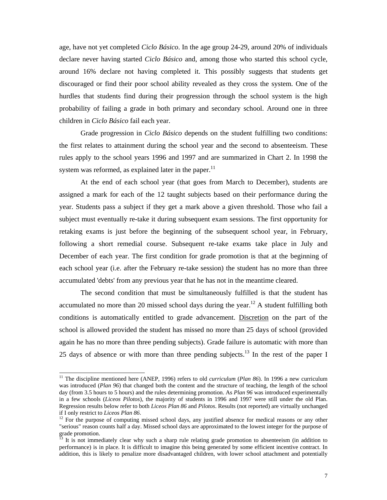age, have not yet completed *Ciclo Básico*. In the age group 24-29, around 20% of individuals declare never having started *Ciclo Básico* and, among those who started this school cycle, around 16% declare not having completed it. This possibly suggests that students get discouraged or find their poor school ability revealed as they cross the system. One of the hurdles that students find during their progression through the school system is the high probability of failing a grade in both primary and secondary school. Around one in three children in *Ciclo Básico* fail each year.

Grade progression in *Ciclo Básico* depends on the student fulfilling two conditions: the first relates to attainment during the school year and the second to absenteeism. These rules apply to the school years 1996 and 1997 and are summarized in Chart 2. In 1998 the system was reformed, as explained later in the paper. $11$ 

At the end of each school year (that goes from March to December), students are assigned a mark for each of the 12 taught subjects based on their performance during the year. Students pass a subject if they get a mark above a given threshold. Those who fail a subject must eventually re-take it during subsequent exam sessions. The first opportunity for retaking exams is just before the beginning of the subsequent school year, in February, following a short remedial course. Subsequent re-take exams take place in July and December of each year. The first condition for grade promotion is that at the beginning of each school year (i.e. after the February re-take session) the student has no more than three accumulated 'debts' from any previous year that he has not in the meantime cleared.

The second condition that must be simultaneously fulfilled is that the student has accumulated no more than 20 missed school days during the year.<sup>12</sup> A student fulfilling both conditions is automatically entitled to grade advancement. Discretion on the part of the school is allowed provided the student has missed no more than 25 days of school (provided again he has no more than three pending subjects). Grade failure is automatic with more than 25 days of absence or with more than three pending subjects.<sup>13</sup> In the rest of the paper I

<sup>&</sup>lt;sup>11</sup> The discipline mentioned here (ANEP, 1996) refers to old *curriculum* (*Plan 86*). In 1996 a new curriculum was introduced (*Plan 96*) that changed both the content and the structure of teaching, the length of the school day (from 3.5 hours to 5 hours) and the rules determining promotion. As *Plan 96* was introduced experimentally in a few schools (*Liceos Pilotos*), the majority of students in 1996 and 1997 were still under the old Plan. Regression results below refer to both *Liceos Plan 86* and *Pilotos*. Results (not reported) are virtually unchanged

<sup>&</sup>lt;sup>12</sup> For the purpose of computing missed school days, any justified absence for medical reasons or any other "serious" reason counts half a day. Missed school days are approximated to the lowest integer for the purpose of grade promotion.

<sup>13</sup> It is not immediately clear why such a sharp rule relating grade promotion to absenteeism (in addition to performance) is in place. It is difficult to imagine this being generated by some efficient incentive contract. In addition, this is likely to penalize more disadvantaged children, with lower school attachment and potentially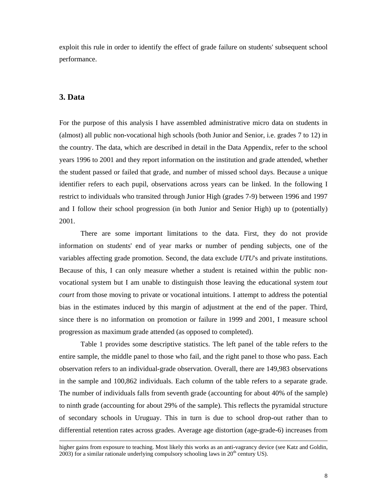exploit this rule in order to identify the effect of grade failure on students' subsequent school performance.

#### **3. Data**

-

For the purpose of this analysis I have assembled administrative micro data on students in (almost) all public non-vocational high schools (both Junior and Senior, i.e. grades 7 to 12) in the country. The data, which are described in detail in the Data Appendix, refer to the school years 1996 to 2001 and they report information on the institution and grade attended, whether the student passed or failed that grade, and number of missed school days. Because a unique identifier refers to each pupil, observations across years can be linked. In the following I restrict to individuals who transited through Junior High (grades 7-9) between 1996 and 1997 and I follow their school progression (in both Junior and Senior High) up to (potentially) 2001.

There are some important limitations to the data. First, they do not provide information on students' end of year marks or number of pending subjects, one of the variables affecting grade promotion. Second, the data exclude *UTU*'s and private institutions. Because of this, I can only measure whether a student is retained within the public nonvocational system but I am unable to distinguish those leaving the educational system *tout court* from those moving to private or vocational intuitions. I attempt to address the potential bias in the estimates induced by this margin of adjustment at the end of the paper. Third, since there is no information on promotion or failure in 1999 and 2001, I measure school progression as maximum grade attended (as opposed to completed).

Table 1 provides some descriptive statistics. The left panel of the table refers to the entire sample, the middle panel to those who fail, and the right panel to those who pass. Each observation refers to an individual-grade observation. Overall, there are 149,983 observations in the sample and 100,862 individuals. Each column of the table refers to a separate grade. The number of individuals falls from seventh grade (accounting for about 40% of the sample) to ninth grade (accounting for about 29% of the sample). This reflects the pyramidal structure of secondary schools in Uruguay. This in turn is due to school drop-out rather than to differential retention rates across grades. Average age distortion (age-grade-6) increases from

higher gains from exposure to teaching. Most likely this works as an anti-vagrancy device (see Katz and Goldin,  $2003$ ) for a similar rationale underlying compulsory schooling laws in  $20<sup>th</sup>$  century US).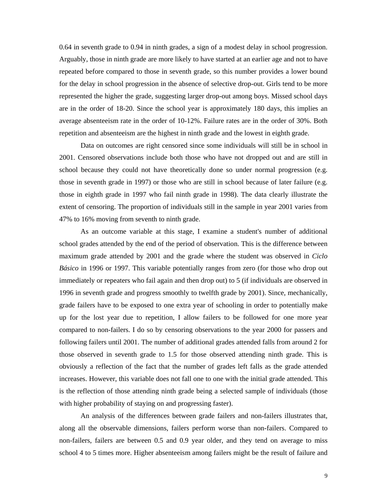0.64 in seventh grade to 0.94 in ninth grades, a sign of a modest delay in school progression. Arguably, those in ninth grade are more likely to have started at an earlier age and not to have repeated before compared to those in seventh grade, so this number provides a lower bound for the delay in school progression in the absence of selective drop-out. Girls tend to be more represented the higher the grade, suggesting larger drop-out among boys. Missed school days are in the order of 18-20. Since the school year is approximately 180 days, this implies an average absenteeism rate in the order of 10-12%. Failure rates are in the order of 30%. Both repetition and absenteeism are the highest in ninth grade and the lowest in eighth grade.

Data on outcomes are right censored since some individuals will still be in school in 2001. Censored observations include both those who have not dropped out and are still in school because they could not have theoretically done so under normal progression (e.g. those in seventh grade in 1997) or those who are still in school because of later failure (e.g. those in eighth grade in 1997 who fail ninth grade in 1998). The data clearly illustrate the extent of censoring. The proportion of individuals still in the sample in year 2001 varies from 47% to 16% moving from seventh to ninth grade.

As an outcome variable at this stage, I examine a student's number of additional school grades attended by the end of the period of observation. This is the difference between maximum grade attended by 2001 and the grade where the student was observed in *Ciclo Básico* in 1996 or 1997. This variable potentially ranges from zero (for those who drop out immediately or repeaters who fail again and then drop out) to 5 (if individuals are observed in 1996 in seventh grade and progress smoothly to twelfth grade by 2001). Since, mechanically, grade failers have to be exposed to one extra year of schooling in order to potentially make up for the lost year due to repetition, I allow failers to be followed for one more year compared to non-failers. I do so by censoring observations to the year 2000 for passers and following failers until 2001. The number of additional grades attended falls from around 2 for those observed in seventh grade to 1.5 for those observed attending ninth grade. This is obviously a reflection of the fact that the number of grades left falls as the grade attended increases. However, this variable does not fall one to one with the initial grade attended. This is the reflection of those attending ninth grade being a selected sample of individuals (those with higher probability of staying on and progressing faster).

An analysis of the differences between grade failers and non-failers illustrates that, along all the observable dimensions, failers perform worse than non-failers. Compared to non-failers, failers are between 0.5 and 0.9 year older, and they tend on average to miss school 4 to 5 times more. Higher absenteeism among failers might be the result of failure and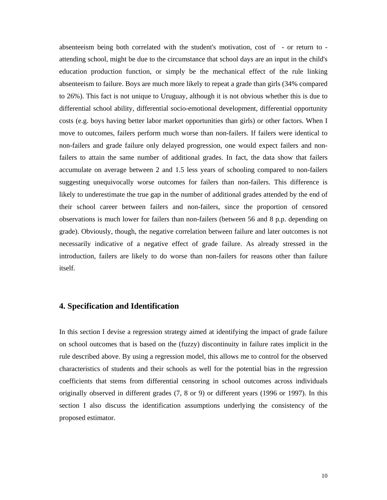absenteeism being both correlated with the student's motivation, cost of - or return to attending school, might be due to the circumstance that school days are an input in the child's education production function, or simply be the mechanical effect of the rule linking absenteeism to failure. Boys are much more likely to repeat a grade than girls (34% compared to 26%). This fact is not unique to Uruguay, although it is not obvious whether this is due to differential school ability, differential socio-emotional development, differential opportunity costs (e.g. boys having better labor market opportunities than girls) or other factors. When I move to outcomes, failers perform much worse than non-failers. If failers were identical to non-failers and grade failure only delayed progression, one would expect failers and nonfailers to attain the same number of additional grades. In fact, the data show that failers accumulate on average between 2 and 1.5 less years of schooling compared to non-failers suggesting unequivocally worse outcomes for failers than non-failers. This difference is likely to underestimate the true gap in the number of additional grades attended by the end of their school career between failers and non-failers, since the proportion of censored observations is much lower for failers than non-failers (between 56 and 8 p.p. depending on grade). Obviously, though, the negative correlation between failure and later outcomes is not necessarily indicative of a negative effect of grade failure. As already stressed in the introduction, failers are likely to do worse than non-failers for reasons other than failure itself.

#### **4. Specification and Identification**

In this section I devise a regression strategy aimed at identifying the impact of grade failure on school outcomes that is based on the (fuzzy) discontinuity in failure rates implicit in the rule described above. By using a regression model, this allows me to control for the observed characteristics of students and their schools as well for the potential bias in the regression coefficients that stems from differential censoring in school outcomes across individuals originally observed in different grades (7, 8 or 9) or different years (1996 or 1997). In this section I also discuss the identification assumptions underlying the consistency of the proposed estimator.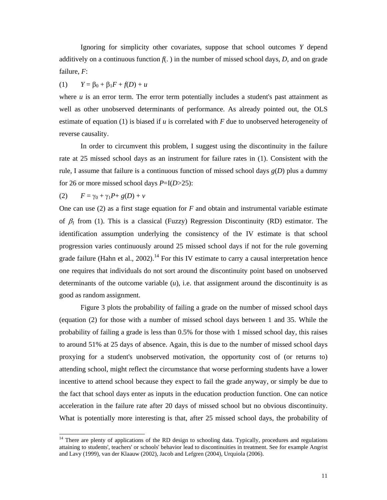Ignoring for simplicity other covariates, suppose that school outcomes *Y* depend additively on a continuous function  $f(.)$  in the number of missed school days,  $D$ , and on grade failure, *F*:

(1) 
$$
Y = \beta_0 + \beta_1 F + f(D) + u
$$

where  $u$  is an error term. The error term potentially includes a student's past attainment as well as other unobserved determinants of performance. As already pointed out, the OLS estimate of equation (1) is biased if *u* is correlated with *F* due to unobserved heterogeneity of reverse causality.

In order to circumvent this problem, I suggest using the discontinuity in the failure rate at 25 missed school days as an instrument for failure rates in (1). Consistent with the rule, I assume that failure is a continuous function of missed school days *g*(*D*) plus a dummy for 26 or more missed school days *P*=I(*D*>25):

$$
(2) \qquad F = \gamma_0 + \gamma_1 P + g(D) + v
$$

-

One can use (2) as a first stage equation for *F* and obtain and instrumental variable estimate of  $\beta_l$  from (1). This is a classical (Fuzzy) Regression Discontinuity (RD) estimator. The identification assumption underlying the consistency of the IV estimate is that school progression varies continuously around 25 missed school days if not for the rule governing grade failure (Hahn et al.,  $2002$ ).<sup>14</sup> For this IV estimate to carry a causal interpretation hence one requires that individuals do not sort around the discontinuity point based on unobserved determinants of the outcome variable  $(u)$ , i.e. that assignment around the discontinuity is as good as random assignment.

Figure 3 plots the probability of failing a grade on the number of missed school days (equation (2) for those with a number of missed school days between 1 and 35. While the probability of failing a grade is less than 0.5% for those with 1 missed school day, this raises to around 51% at 25 days of absence. Again, this is due to the number of missed school days proxying for a student's unobserved motivation, the opportunity cost of (or returns to) attending school, might reflect the circumstance that worse performing students have a lower incentive to attend school because they expect to fail the grade anyway, or simply be due to the fact that school days enter as inputs in the education production function. One can notice acceleration in the failure rate after 20 days of missed school but no obvious discontinuity. What is potentially more interesting is that, after 25 missed school days, the probability of

<sup>&</sup>lt;sup>14</sup> There are plenty of applications of the RD design to schooling data. Typically, procedures and regulations attaining to students', teachers' or schools' behavior lead to discontinuities in treatment. See for example Angrist and Lavy (1999), van der Klaauw (2002), Jacob and Lefgren (2004), Urquiola (2006).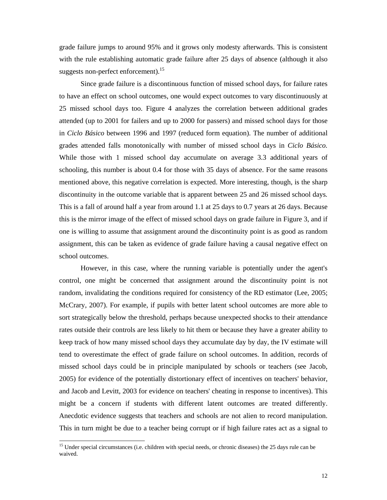grade failure jumps to around 95% and it grows only modesty afterwards. This is consistent with the rule establishing automatic grade failure after 25 days of absence (although it also suggests non-perfect enforcement).<sup>15</sup>

 Since grade failure is a discontinuous function of missed school days*,* for failure rates to have an effect on school outcomes, one would expect outcomes to vary discontinuously at 25 missed school days too. Figure 4 analyzes the correlation between additional grades attended (up to 2001 for failers and up to 2000 for passers) and missed school days for those in *Ciclo Básico* between 1996 and 1997 (reduced form equation). The number of additional grades attended falls monotonically with number of missed school days in *Ciclo Básico.* While those with 1 missed school day accumulate on average 3.3 additional years of schooling, this number is about 0.4 for those with 35 days of absence. For the same reasons mentioned above, this negative correlation is expected. More interesting, though, is the sharp discontinuity in the outcome variable that is apparent between 25 and 26 missed school days*.* This is a fall of around half a year from around 1.1 at 25 days to 0.7 years at 26 days. Because this is the mirror image of the effect of missed school days on grade failure in Figure 3, and if one is willing to assume that assignment around the discontinuity point is as good as random assignment, this can be taken as evidence of grade failure having a causal negative effect on school outcomes.

However, in this case, where the running variable is potentially under the agent's control, one might be concerned that assignment around the discontinuity point is not random, invalidating the conditions required for consistency of the RD estimator (Lee, 2005; McCrary, 2007). For example, if pupils with better latent school outcomes are more able to sort strategically below the threshold, perhaps because unexpected shocks to their attendance rates outside their controls are less likely to hit them or because they have a greater ability to keep track of how many missed school days they accumulate day by day, the IV estimate will tend to overestimate the effect of grade failure on school outcomes. In addition, records of missed school days could be in principle manipulated by schools or teachers (see Jacob, 2005) for evidence of the potentially distortionary effect of incentives on teachers' behavior, and Jacob and Levitt, 2003 for evidence on teachers' cheating in response to incentives). This might be a concern if students with different latent outcomes are treated differently. Anecdotic evidence suggests that teachers and schools are not alien to record manipulation. This in turn might be due to a teacher being corrupt or if high failure rates act as a signal to

<sup>&</sup>lt;sup>15</sup> Under special circumstances (i.e. children with special needs, or chronic diseases) the 25 days rule can be waived.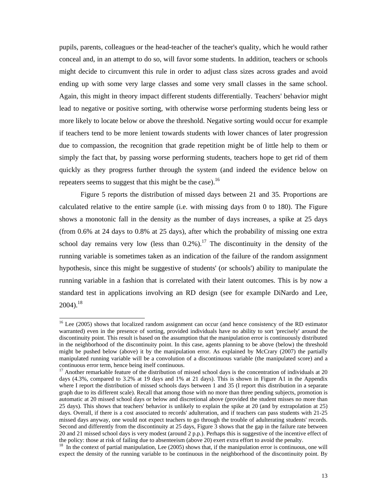pupils, parents, colleagues or the head-teacher of the teacher's quality, which he would rather conceal and, in an attempt to do so, will favor some students. In addition, teachers or schools might decide to circumvent this rule in order to adjust class sizes across grades and avoid ending up with some very large classes and some very small classes in the same school. Again, this might in theory impact different students differentially. Teachers' behavior might lead to negative or positive sorting, with otherwise worse performing students being less or more likely to locate below or above the threshold. Negative sorting would occur for example if teachers tend to be more lenient towards students with lower chances of later progression due to compassion, the recognition that grade repetition might be of little help to them or simply the fact that, by passing worse performing students, teachers hope to get rid of them quickly as they progress further through the system (and indeed the evidence below on repeaters seems to suggest that this might be the case).<sup>16</sup>

Figure 5 reports the distribution of missed days between 21 and 35. Proportions are calculated relative to the entire sample (i.e. with missing days from 0 to 180). The Figure shows a monotonic fall in the density as the number of days increases, a spike at 25 days (from 0.6% at 24 days to 0.8% at 25 days), after which the probability of missing one extra school day remains very low (less than  $0.2\%$ ).<sup>17</sup> The discontinuity in the density of the running variable is sometimes taken as an indication of the failure of the random assignment hypothesis, since this might be suggestive of students' (or schools') ability to manipulate the running variable in a fashion that is correlated with their latent outcomes. This is by now a standard test in applications involving an RD design (see for example DiNardo and Lee,  $2004$ ).<sup>18</sup>

1

<sup>&</sup>lt;sup>16</sup> Lee (2005) shows that localized random assignment can occur (and hence consistency of the RD estimator warranted) even in the presence of sorting, provided individuals have no ability to sort 'precisely' around the discontinuity point. This result is based on the assumption that the manipulation error is continuously distributed in the neighborhood of the discontinuity point. In this case, agents planning to be above (below) the threshold might be pushed below (above) it by the manipulation error. As explained by McCrary (2007) the partially manipulated running variable will be a convolution of a discontinuous variable (the manipulated score) and a continuous error term, hence being itself continuous.

<sup>&</sup>lt;sup>17</sup> Another remarkable feature of the distribution of missed school days is the concentration of individuals at 20 days (4.3%, compared to 3.2% at 19 days and 1% at 21 days). This is shown in Figure A1 in the Appendix where I report the distribution of missed schools days between 1 and 35 (I report this distribution in a separate graph due to its different scale). Recall that among those with no more than three pending subjects, promotion is automatic at 20 missed school days or below and discretional above (provided the student misses no more than 25 days). This shows that teachers' behavior is unlikely to explain the spike at 20 (and by extrapolation at 25) days. Overall, if there is a cost associated to records' adulteration, and if teachers can pass students with 21-25 missed days anyway, one would not expect teachers to go through the trouble of adulterating students' records. Second and differently from the discontinuity at 25 days, Figure 3 shows that the gap in the failure rate between 20 and 21 missed school days is very modest (around 2 p.p.). Perhaps this is suggestive of the incentive effect of the policy: those at risk of failing due to absenteeism (above 20) exert extra effort to avoid the penalty.

<sup>&</sup>lt;sup>18</sup> In the context of partial manipulation, Lee (2005) shows that, if the manipulation error is continuous, one will expect the density of the running variable to be continuous in the neighborhood of the discontinuity point. By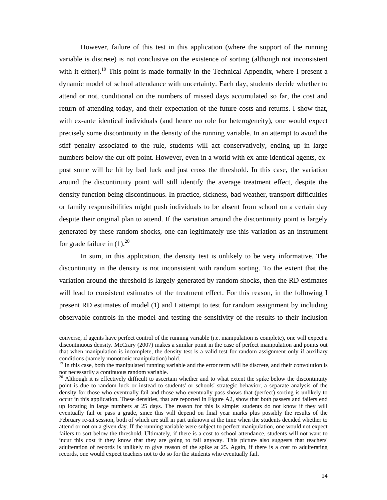However, failure of this test in this application (where the support of the running variable is discrete) is not conclusive on the existence of sorting (although not inconsistent with it either).<sup>19</sup> This point is made formally in the Technical Appendix, where I present a dynamic model of school attendance with uncertainty. Each day, students decide whether to attend or not, conditional on the numbers of missed days accumulated so far, the cost and return of attending today, and their expectation of the future costs and returns. I show that, with ex-ante identical individuals (and hence no role for heterogeneity), one would expect precisely some discontinuity in the density of the running variable. In an attempt to avoid the stiff penalty associated to the rule, students will act conservatively, ending up in large numbers below the cut-off point. However, even in a world with ex-ante identical agents, expost some will be hit by bad luck and just cross the threshold. In this case, the variation around the discontinuity point will still identify the average treatment effect, despite the density function being discontinuous. In practice, sickness, bad weather, transport difficulties or family responsibilities might push individuals to be absent from school on a certain day despite their original plan to attend. If the variation around the discontinuity point is largely generated by these random shocks, one can legitimately use this variation as an instrument for grade failure in  $(1).^{20}$ 

In sum, in this application, the density test is unlikely to be very informative. The discontinuity in the density is not inconsistent with random sorting. To the extent that the variation around the threshold is largely generated by random shocks, then the RD estimates will lead to consistent estimates of the treatment effect. For this reason, in the following I present RD estimates of model (1) and I attempt to test for random assignment by including observable controls in the model and testing the sensitivity of the results to their inclusion

converse, if agents have perfect control of the running variable (i.e. manipulation is complete), one will expect a discontinuous density. McCrary (2007) makes a similar point in the case of perfect manipulation and points out that when manipulation is incomplete, the density test is a valid test for random assignment only if auxiliary conditions (namely monotonic manipulation) hold.

<sup>&</sup>lt;sup>19</sup> In this case, both the manipulated running variable and the error term will be discrete, and their convolution is not necessarily a continuous random variable.

<sup>&</sup>lt;sup>20</sup> Although it is effectively difficult to ascertain whether and to what extent the spike below the discontinuity point is due to random luck or instead to students' or schools' strategic behavior, a separate analysis of the density for those who eventually fail and those who eventually pass shows that (perfect) sorting is unlikely to occur in this application. These densities, that are reported in Figure A2, show that both passers and failers end up locating in large numbers at 25 days. The reason for this is simple: students do not know if they will eventually fail or pass a grade, since this will depend on final year marks plus possibly the results of the February re-sit session, both of which are still in part unknown at the time when the students decided whether to attend or not on a given day. If the running variable were subject to perfect manipulation, one would not expect failers to sort below the threshold. Ultimately, if there is a cost to school attendance, students will not want to incur this cost if they know that they are going to fail anyway. This picture also suggests that teachers' adulteration of records is unlikely to give reason of the spike at 25. Again, if there is a cost to adulterating records, one would expect teachers not to do so for the students who eventually fail.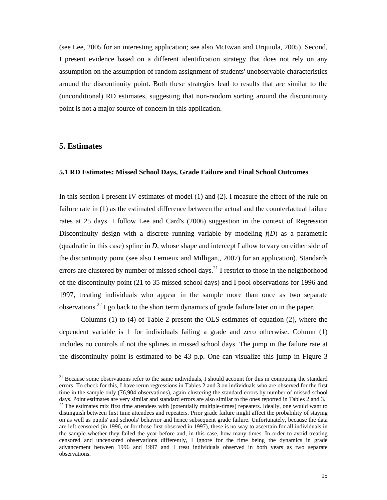(see Lee, 2005 for an interesting application; see also McEwan and Urquiola, 2005). Second, I present evidence based on a different identification strategy that does not rely on any assumption on the assumption of random assignment of students' unobservable characteristics around the discontinuity point. Both these strategies lead to results that are similar to the (unconditional) RD estimates, suggesting that non-random sorting around the discontinuity point is not a major source of concern in this application.

#### **5. Estimates**

-

#### **5.1 RD Estimates: Missed School Days, Grade Failure and Final School Outcomes**

In this section I present IV estimates of model (1) and (2). I measure the effect of the rule on failure rate in (1) as the estimated difference between the actual and the counterfactual failure rates at 25 days. I follow Lee and Card's (2006) suggestion in the context of Regression Discontinuity design with a discrete running variable by modeling  $f(D)$  as a parametric (quadratic in this case) spline in *D*, whose shape and intercept I allow to vary on either side of the discontinuity point (see also Lemieux and Milligan,, 2007) for an application). Standards errors are clustered by number of missed school days.<sup>21</sup> I restrict to those in the neighborhood of the discontinuity point (21 to 35 missed school days) and I pool observations for 1996 and 1997, treating individuals who appear in the sample more than once as two separate observations.<sup>22</sup> I go back to the short term dynamics of grade failure later on in the paper.

Columns (1) to (4) of Table 2 present the OLS estimates of equation (2), where the dependent variable is 1 for individuals failing a grade and zero otherwise. Column (1) includes no controls if not the splines in missed school days. The jump in the failure rate at the discontinuity point is estimated to be 43 p.p. One can visualize this jump in Figure 3

 $21$  Because some observations refer to the same individuals, I should account for this in computing the standard errors. To check for this, I have rerun regressions in Tables 2 and 3 on individuals who are observed for the first time in the sample only (76,904 observations), again clustering the standard errors by number of missed school days. Point estimates are very similar and standard errors are also similar to the ones reported in Tables 2 and 3.

 $22$  The estimates mix first time attendees with (potentially multiple-times) repeaters. Ideally, one would want to distinguish between first time attendees and repeaters. Prior grade failure might affect the probability of staying on as well as pupils' and schools' behavior and hence subsequent grade failure. Unfortunately, because the data are left censored (in 1996, or for those first observed in 1997), these is no way to ascertain for all individuals in the sample whether they failed the year before and, in this case, how many times. In order to avoid treating censored and uncensored observations differently, I ignore for the time being the dynamics in grade advancement between 1996 and 1997 and I treat individuals observed in both years as two separate observations.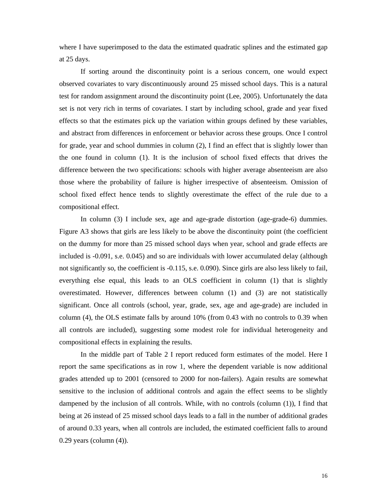where I have superimposed to the data the estimated quadratic splines and the estimated gap at 25 days.

If sorting around the discontinuity point is a serious concern, one would expect observed covariates to vary discontinuously around 25 missed school days. This is a natural test for random assignment around the discontinuity point (Lee, 2005). Unfortunately the data set is not very rich in terms of covariates. I start by including school, grade and year fixed effects so that the estimates pick up the variation within groups defined by these variables, and abstract from differences in enforcement or behavior across these groups. Once I control for grade, year and school dummies in column (2), I find an effect that is slightly lower than the one found in column (1). It is the inclusion of school fixed effects that drives the difference between the two specifications: schools with higher average absenteeism are also those where the probability of failure is higher irrespective of absenteeism. Omission of school fixed effect hence tends to slightly overestimate the effect of the rule due to a compositional effect.

In column (3) I include sex, age and age-grade distortion (age-grade-6) dummies. Figure A3 shows that girls are less likely to be above the discontinuity point (the coefficient on the dummy for more than 25 missed school days when year, school and grade effects are included is -0.091, s.e. 0.045) and so are individuals with lower accumulated delay (although not significantly so, the coefficient is -0.115, s.e. 0.090). Since girls are also less likely to fail, everything else equal, this leads to an OLS coefficient in column (1) that is slightly overestimated. However, differences between column (1) and (3) are not statistically significant. Once all controls (school, year, grade, sex, age and age-grade) are included in column (4), the OLS estimate falls by around 10% (from 0.43 with no controls to 0.39 when all controls are included), suggesting some modest role for individual heterogeneity and compositional effects in explaining the results.

In the middle part of Table 2 I report reduced form estimates of the model. Here I report the same specifications as in row 1, where the dependent variable is now additional grades attended up to 2001 (censored to 2000 for non-failers). Again results are somewhat sensitive to the inclusion of additional controls and again the effect seems to be slightly dampened by the inclusion of all controls. While, with no controls (column (1)), I find that being at 26 instead of 25 missed school days leads to a fall in the number of additional grades of around 0.33 years, when all controls are included, the estimated coefficient falls to around 0.29 years (column (4)).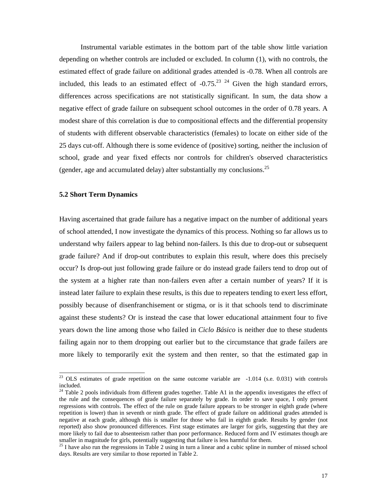Instrumental variable estimates in the bottom part of the table show little variation depending on whether controls are included or excluded. In column (1), with no controls, the estimated effect of grade failure on additional grades attended is -0.78. When all controls are included, this leads to an estimated effect of  $-0.75$ <sup>23</sup> <sup>24</sup> Given the high standard errors, differences across specifications are not statistically significant. In sum, the data show a negative effect of grade failure on subsequent school outcomes in the order of 0.78 years. A modest share of this correlation is due to compositional effects and the differential propensity of students with different observable characteristics (females) to locate on either side of the 25 days cut-off. Although there is some evidence of (positive) sorting, neither the inclusion of school, grade and year fixed effects nor controls for children's observed characteristics (gender, age and accumulated delay) alter substantially my conclusions.<sup>25</sup>

#### **5.2 Short Term Dynamics**

-

Having ascertained that grade failure has a negative impact on the number of additional years of school attended, I now investigate the dynamics of this process. Nothing so far allows us to understand why failers appear to lag behind non-failers. Is this due to drop-out or subsequent grade failure? And if drop-out contributes to explain this result, where does this precisely occur? Is drop-out just following grade failure or do instead grade failers tend to drop out of the system at a higher rate than non-failers even after a certain number of years? If it is instead later failure to explain these results, is this due to repeaters tending to exert less effort, possibly because of disenfranchisement or stigma, or is it that schools tend to discriminate against these students? Or is instead the case that lower educational attainment four to five years down the line among those who failed in *Ciclo Básico* is neither due to these students failing again nor to them dropping out earlier but to the circumstance that grade failers are more likely to temporarily exit the system and then renter, so that the estimated gap in

<sup>&</sup>lt;sup>23</sup> OLS estimates of grade repetition on the same outcome variable are  $-1.014$  (s.e. 0.031) with controls included.

 $24$  Table 2 pools individuals from different grades together. Table A1 in the appendix investigates the effect of the rule and the consequences of grade failure separately by grade. In order to save space, I only present regressions with controls. The effect of the rule on grade failure appears to be stronger in eighth grade (where repetition is lower) than in seventh or ninth grade. The effect of grade failure on additional grades attended is negative at each grade, although this is smaller for those who fail in eighth grade. Results by gender (not reported) also show pronounced differences. First stage estimates are larger for girls, suggesting that they are more likely to fail due to absenteeism rather than poor performance. Reduced form and IV estimates though are smaller in magnitude for girls, potentially suggesting that failure is less harmful for them.

 $25$  I have also run the regressions in Table 2 using in turn a linear and a cubic spline in number of missed school days. Results are very similar to those reported in Table 2.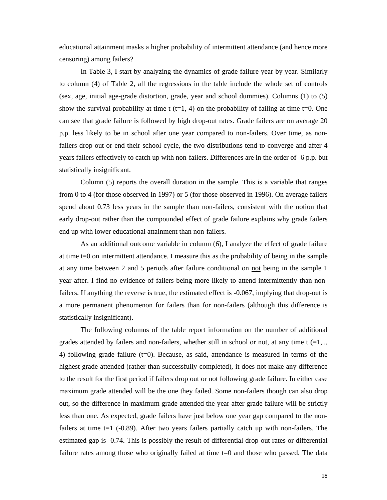educational attainment masks a higher probability of intermittent attendance (and hence more censoring) among failers?

In Table 3, I start by analyzing the dynamics of grade failure year by year. Similarly to column (4) of Table 2, all the regressions in the table include the whole set of controls (sex, age, initial age-grade distortion, grade, year and school dummies). Columns (1) to (5) show the survival probability at time t  $(t=1, 4)$  on the probability of failing at time t=0. One can see that grade failure is followed by high drop-out rates. Grade failers are on average 20 p.p. less likely to be in school after one year compared to non-failers. Over time, as nonfailers drop out or end their school cycle, the two distributions tend to converge and after 4 years failers effectively to catch up with non-failers. Differences are in the order of -6 p.p. but statistically insignificant.

Column (5) reports the overall duration in the sample. This is a variable that ranges from 0 to 4 (for those observed in 1997) or 5 (for those observed in 1996). On average failers spend about 0.73 less years in the sample than non-failers, consistent with the notion that early drop-out rather than the compounded effect of grade failure explains why grade failers end up with lower educational attainment than non-failers.

 As an additional outcome variable in column (6), I analyze the effect of grade failure at time t=0 on intermittent attendance. I measure this as the probability of being in the sample at any time between 2 and 5 periods after failure conditional on not being in the sample 1 year after. I find no evidence of failers being more likely to attend intermittently than nonfailers. If anything the reverse is true, the estimated effect is -0.067, implying that drop-out is a more permanent phenomenon for failers than for non-failers (although this difference is statistically insignificant).

The following columns of the table report information on the number of additional grades attended by failers and non-failers, whether still in school or not, at any time  $t = 1, \ldots$ 4) following grade failure (t=0). Because, as said, attendance is measured in terms of the highest grade attended (rather than successfully completed), it does not make any difference to the result for the first period if failers drop out or not following grade failure. In either case maximum grade attended will be the one they failed. Some non-failers though can also drop out, so the difference in maximum grade attended the year after grade failure will be strictly less than one. As expected, grade failers have just below one year gap compared to the nonfailers at time  $t=1$  (-0.89). After two years failers partially catch up with non-failers. The estimated gap is -0.74. This is possibly the result of differential drop-out rates or differential failure rates among those who originally failed at time t=0 and those who passed. The data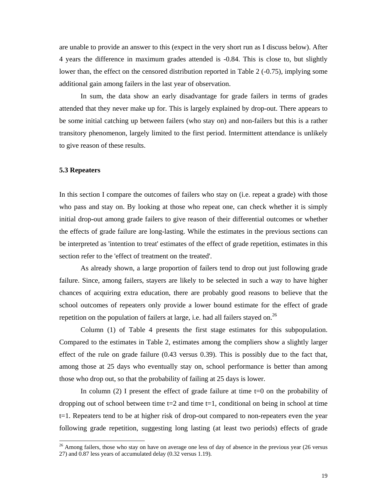are unable to provide an answer to this (expect in the very short run as I discuss below). After 4 years the difference in maximum grades attended is -0.84. This is close to, but slightly lower than, the effect on the censored distribution reported in Table 2 (-0.75), implying some additional gain among failers in the last year of observation.

In sum, the data show an early disadvantage for grade failers in terms of grades attended that they never make up for. This is largely explained by drop-out. There appears to be some initial catching up between failers (who stay on) and non-failers but this is a rather transitory phenomenon, largely limited to the first period. Intermittent attendance is unlikely to give reason of these results.

#### **5.3 Repeaters**

-

In this section I compare the outcomes of failers who stay on (i.e. repeat a grade) with those who pass and stay on. By looking at those who repeat one, can check whether it is simply initial drop-out among grade failers to give reason of their differential outcomes or whether the effects of grade failure are long-lasting. While the estimates in the previous sections can be interpreted as 'intention to treat' estimates of the effect of grade repetition, estimates in this section refer to the 'effect of treatment on the treated'.

As already shown, a large proportion of failers tend to drop out just following grade failure. Since, among failers, stayers are likely to be selected in such a way to have higher chances of acquiring extra education, there are probably good reasons to believe that the school outcomes of repeaters only provide a lower bound estimate for the effect of grade repetition on the population of failers at large, i.e. had all failers stayed on.<sup>26</sup>

Column (1) of Table 4 presents the first stage estimates for this subpopulation. Compared to the estimates in Table 2, estimates among the compliers show a slightly larger effect of the rule on grade failure (0.43 versus 0.39). This is possibly due to the fact that, among those at 25 days who eventually stay on, school performance is better than among those who drop out, so that the probability of failing at 25 days is lower.

In column  $(2)$  I present the effect of grade failure at time t=0 on the probability of dropping out of school between time  $t=2$  and time  $t=1$ , conditional on being in school at time t=1. Repeaters tend to be at higher risk of drop-out compared to non-repeaters even the year following grade repetition, suggesting long lasting (at least two periods) effects of grade

<sup>&</sup>lt;sup>26</sup> Among failers, those who stay on have on average one less of day of absence in the previous year (26 versus 27) and 0.87 less years of accumulated delay (0.32 versus 1.19).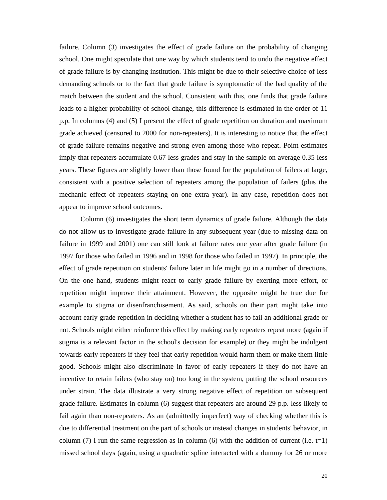failure. Column (3) investigates the effect of grade failure on the probability of changing school. One might speculate that one way by which students tend to undo the negative effect of grade failure is by changing institution. This might be due to their selective choice of less demanding schools or to the fact that grade failure is symptomatic of the bad quality of the match between the student and the school. Consistent with this, one finds that grade failure leads to a higher probability of school change, this difference is estimated in the order of 11 p.p. In columns (4) and (5) I present the effect of grade repetition on duration and maximum grade achieved (censored to 2000 for non-repeaters). It is interesting to notice that the effect of grade failure remains negative and strong even among those who repeat. Point estimates imply that repeaters accumulate 0.67 less grades and stay in the sample on average 0.35 less years. These figures are slightly lower than those found for the population of failers at large, consistent with a positive selection of repeaters among the population of failers (plus the mechanic effect of repeaters staying on one extra year). In any case, repetition does not appear to improve school outcomes.

Column (6) investigates the short term dynamics of grade failure. Although the data do not allow us to investigate grade failure in any subsequent year (due to missing data on failure in 1999 and 2001) one can still look at failure rates one year after grade failure (in 1997 for those who failed in 1996 and in 1998 for those who failed in 1997). In principle, the effect of grade repetition on students' failure later in life might go in a number of directions. On the one hand, students might react to early grade failure by exerting more effort, or repetition might improve their attainment. However, the opposite might be true due for example to stigma or disenfranchisement. As said, schools on their part might take into account early grade repetition in deciding whether a student has to fail an additional grade or not. Schools might either reinforce this effect by making early repeaters repeat more (again if stigma is a relevant factor in the school's decision for example) or they might be indulgent towards early repeaters if they feel that early repetition would harm them or make them little good. Schools might also discriminate in favor of early repeaters if they do not have an incentive to retain failers (who stay on) too long in the system, putting the school resources under strain. The data illustrate a very strong negative effect of repetition on subsequent grade failure. Estimates in column (6) suggest that repeaters are around 29 p.p. less likely to fail again than non-repeaters. As an (admittedly imperfect) way of checking whether this is due to differential treatment on the part of schools or instead changes in students' behavior, in column (7) I run the same regression as in column (6) with the addition of current (i.e.  $t=1$ ) missed school days (again, using a quadratic spline interacted with a dummy for 26 or more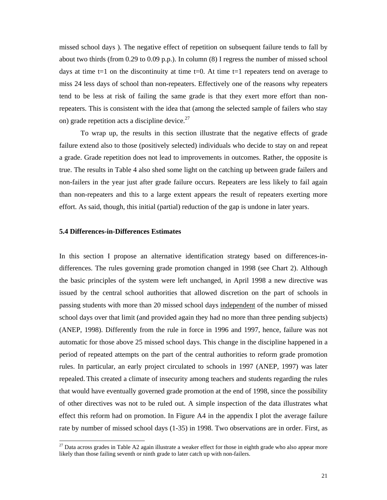missed school days ). The negative effect of repetition on subsequent failure tends to fall by about two thirds (from 0.29 to 0.09 p.p.). In column (8) I regress the number of missed school days at time t=1 on the discontinuity at time t=0. At time t=1 repeaters tend on average to miss 24 less days of school than non-repeaters. Effectively one of the reasons why repeaters tend to be less at risk of failing the same grade is that they exert more effort than nonrepeaters. This is consistent with the idea that (among the selected sample of failers who stay on) grade repetition acts a discipline device.<sup>27</sup>

To wrap up, the results in this section illustrate that the negative effects of grade failure extend also to those (positively selected) individuals who decide to stay on and repeat a grade. Grade repetition does not lead to improvements in outcomes. Rather, the opposite is true. The results in Table 4 also shed some light on the catching up between grade failers and non-failers in the year just after grade failure occurs. Repeaters are less likely to fail again than non-repeaters and this to a large extent appears the result of repeaters exerting more effort. As said, though, this initial (partial) reduction of the gap is undone in later years.

#### **5.4 Differences-in-Differences Estimates**

-

In this section I propose an alternative identification strategy based on differences-indifferences. The rules governing grade promotion changed in 1998 (see Chart 2). Although the basic principles of the system were left unchanged, in April 1998 a new directive was issued by the central school authorities that allowed discretion on the part of schools in passing students with more than 20 missed school days independent of the number of missed school days over that limit (and provided again they had no more than three pending subjects) (ANEP, 1998). Differently from the rule in force in 1996 and 1997, hence, failure was not automatic for those above 25 missed school days. This change in the discipline happened in a period of repeated attempts on the part of the central authorities to reform grade promotion rules. In particular, an early project circulated to schools in 1997 (ANEP, 1997) was later repealed. This created a climate of insecurity among teachers and students regarding the rules that would have eventually governed grade promotion at the end of 1998, since the possibility of other directives was not to be ruled out. A simple inspection of the data illustrates what effect this reform had on promotion. In Figure A4 in the appendix I plot the average failure rate by number of missed school days (1-35) in 1998. Two observations are in order. First, as

 $27$  Data across grades in Table A2 again illustrate a weaker effect for those in eighth grade who also appear more likely than those failing seventh or ninth grade to later catch up with non-failers.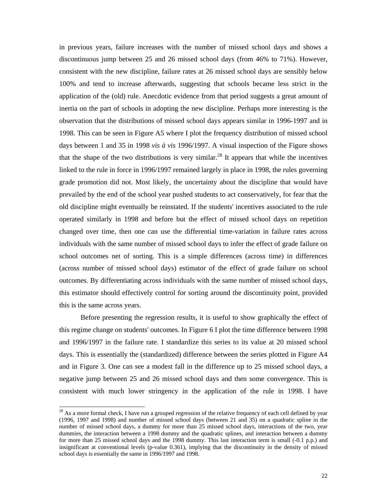in previous years, failure increases with the number of missed school days and shows a discontinuous jump between 25 and 26 missed school days (from 46% to 71%). However, consistent with the new discipline, failure rates at 26 missed school days are sensibly below 100% and tend to increase afterwards, suggesting that schools became less strict in the application of the (old) rule. Anecdotic evidence from that period suggests a great amount of inertia on the part of schools in adopting the new discipline. Perhaps more interesting is the observation that the distributions of missed school days appears similar in 1996-1997 and in 1998. This can be seen in Figure A5 where I plot the frequency distribution of missed school days between 1 and 35 in 1998 *vis à vis* 1996/1997. A visual inspection of the Figure shows that the shape of the two distributions is very similar.<sup>28</sup> It appears that while the incentives linked to the rule in force in 1996/1997 remained largely in place in 1998, the rules governing grade promotion did not. Most likely, the uncertainty about the discipline that would have prevailed by the end of the school year pushed students to act conservatively, for fear that the old discipline might eventually be reinstated. If the students' incentives associated to the rule operated similarly in 1998 and before but the effect of missed school days on repetition changed over time, then one can use the differential time-variation in failure rates across individuals with the same number of missed school days to infer the effect of grade failure on school outcomes net of sorting. This is a simple differences (across time) in differences (across number of missed school days) estimator of the effect of grade failure on school outcomes. By differentiating across individuals with the same number of missed school days, this estimator should effectively control for sorting around the discontinuity point, provided this is the same across years.

Before presenting the regression results, it is useful to show graphically the effect of this regime change on students' outcomes. In Figure 6 I plot the time difference between 1998 and 1996/1997 in the failure rate. I standardize this series to its value at 20 missed school days. This is essentially the (standardized) difference between the series plotted in Figure A4 and in Figure 3. One can see a modest fall in the difference up to 25 missed school days, a negative jump between 25 and 26 missed school days and then some convergence. This is consistent with much lower stringency in the application of the rule in 1998. I have

 $^{28}$  As a more formal check, I have run a grouped regression of the relative frequency of each cell defined by year (1996, 1997 and 1998) and number of missed school days (between 21 and 35) on a quadratic spline in the number of missed school days, a dummy for more than 25 missed school days, interactions of the two, year dummies, the interaction between a 1998 dummy and the quadratic splines, and interaction between a dummy for more than 25 missed school days and the 1998 dummy. This last interaction term is small (-0.1 p.p.) and insignificant at conventional levels (p-value 0.361), implying that the discontinuity in the density of missed school days is essentially the same in 1996/1997 and 1998.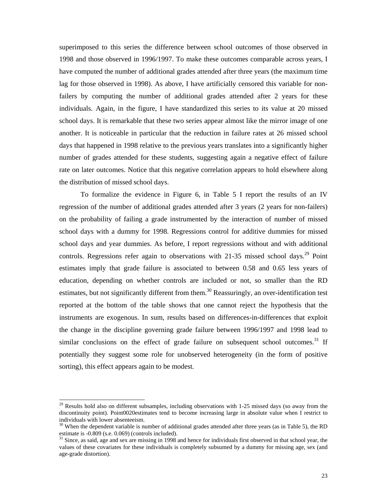superimposed to this series the difference between school outcomes of those observed in 1998 and those observed in 1996/1997. To make these outcomes comparable across years, I have computed the number of additional grades attended after three years (the maximum time lag for those observed in 1998). As above, I have artificially censored this variable for nonfailers by computing the number of additional grades attended after 2 years for these individuals. Again, in the figure, I have standardized this series to its value at 20 missed school days. It is remarkable that these two series appear almost like the mirror image of one another. It is noticeable in particular that the reduction in failure rates at 26 missed school days that happened in 1998 relative to the previous years translates into a significantly higher number of grades attended for these students, suggesting again a negative effect of failure rate on later outcomes. Notice that this negative correlation appears to hold elsewhere along the distribution of missed school days.

To formalize the evidence in Figure 6, in Table 5 I report the results of an IV regression of the number of additional grades attended after 3 years (2 years for non-failers) on the probability of failing a grade instrumented by the interaction of number of missed school days with a dummy for 1998. Regressions control for additive dummies for missed school days and year dummies. As before, I report regressions without and with additional controls. Regressions refer again to observations with 21-35 missed school days.<sup>29</sup> Point estimates imply that grade failure is associated to between 0.58 and 0.65 less years of education, depending on whether controls are included or not, so smaller than the RD estimates, but not significantly different from them.<sup>30</sup> Reassuringly, an over-identification test reported at the bottom of the table shows that one cannot reject the hypothesis that the instruments are exogenous. In sum, results based on differences-in-differences that exploit the change in the discipline governing grade failure between 1996/1997 and 1998 lead to similar conclusions on the effect of grade failure on subsequent school outcomes.<sup>31</sup> If potentially they suggest some role for unobserved heterogeneity (in the form of positive sorting), this effect appears again to be modest.

1

<sup>&</sup>lt;sup>29</sup> Results hold also on different subsamples, including observations with 1-25 missed days (so away from the discontinuity point). Point0020estimates tend to become increasing large in absolute value when I restrict to individuals with lower absenteeism.

 $30$  When the dependent variable is number of additional grades attended after three years (as in Table 5), the RD estimate is -0.809 (s.e. 0.069) (controls included).

<sup>&</sup>lt;sup>31</sup> Since, as said, age and sex are missing in 1998 and hence for individuals first observed in that school year, the values of these covariates for these individuals is completely subsumed by a dummy for missing age, sex (and age-grade distortion).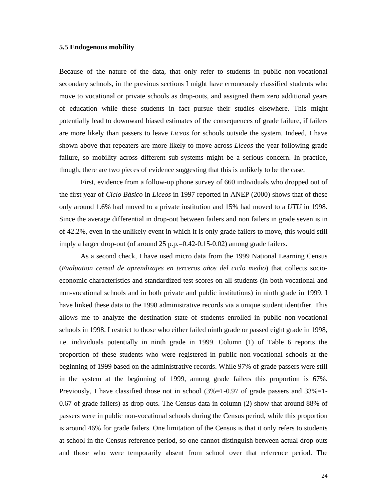#### **5.5 Endogenous mobility**

Because of the nature of the data, that only refer to students in public non-vocational secondary schools, in the previous sections I might have erroneously classified students who move to vocational or private schools as drop-outs, and assigned them zero additional years of education while these students in fact pursue their studies elsewhere. This might potentially lead to downward biased estimates of the consequences of grade failure, if failers are more likely than passers to leave *Liceos* for schools outside the system. Indeed, I have shown above that repeaters are more likely to move across *Liceos* the year following grade failure, so mobility across different sub-systems might be a serious concern. In practice, though, there are two pieces of evidence suggesting that this is unlikely to be the case.

First, evidence from a follow-up phone survey of 660 individuals who dropped out of the first year of *Ciclo Básico* in *Liceos* in 1997 reported in ANEP (2000) shows that of these only around 1.6% had moved to a private institution and 15% had moved to a *UTU* in 1998. Since the average differential in drop-out between failers and non failers in grade seven is in of 42.2%, even in the unlikely event in which it is only grade failers to move, this would still imply a larger drop-out (of around 25 p.p.=0.42-0.15-0.02) among grade failers.

As a second check, I have used micro data from the 1999 National Learning Census (*Evaluation censal de aprendizajes en terceros años del ciclo medio*) that collects socioeconomic characteristics and standardized test scores on all students (in both vocational and non-vocational schools and in both private and public institutions) in ninth grade in 1999. I have linked these data to the 1998 administrative records via a unique student identifier. This allows me to analyze the destination state of students enrolled in public non-vocational schools in 1998. I restrict to those who either failed ninth grade or passed eight grade in 1998, i.e. individuals potentially in ninth grade in 1999. Column (1) of Table 6 reports the proportion of these students who were registered in public non-vocational schools at the beginning of 1999 based on the administrative records. While 97% of grade passers were still in the system at the beginning of 1999, among grade failers this proportion is 67%. Previously, I have classified those not in school  $(3\% = 1 - 0.97)$  of grade passers and  $33\% = 1 - 0.97$ 0.67 of grade failers) as drop-outs. The Census data in column (2) show that around 88% of passers were in public non-vocational schools during the Census period, while this proportion is around 46% for grade failers. One limitation of the Census is that it only refers to students at school in the Census reference period, so one cannot distinguish between actual drop-outs and those who were temporarily absent from school over that reference period. The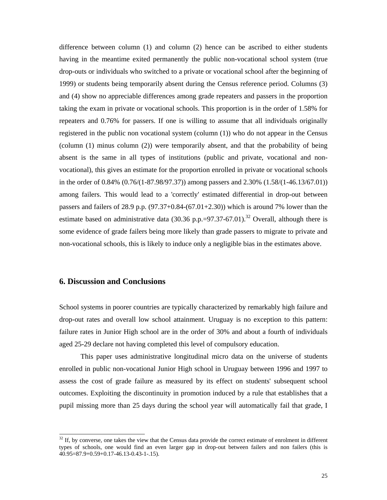difference between column (1) and column (2) hence can be ascribed to either students having in the meantime exited permanently the public non-vocational school system (true drop-outs or individuals who switched to a private or vocational school after the beginning of 1999) or students being temporarily absent during the Census reference period. Columns (3) and (4) show no appreciable differences among grade repeaters and passers in the proportion taking the exam in private or vocational schools. This proportion is in the order of 1.58% for repeaters and 0.76% for passers. If one is willing to assume that all individuals originally registered in the public non vocational system (column (1)) who do not appear in the Census (column (1) minus column (2)) were temporarily absent, and that the probability of being absent is the same in all types of institutions (public and private, vocational and nonvocational), this gives an estimate for the proportion enrolled in private or vocational schools in the order of 0.84% (0.76/(1-87.98/97.37)) among passers and 2.30% (1.58/(1-46.13/67.01)) among failers. This would lead to a 'correctly' estimated differential in drop-out between passers and failers of 28.9 p.p.  $(97.37+0.84-(67.01+2.30))$  which is around 7% lower than the estimate based on administrative data (30.36 p.p.=97.37-67.01).<sup>32</sup> Overall, although there is some evidence of grade failers being more likely than grade passers to migrate to private and non-vocational schools, this is likely to induce only a negligible bias in the estimates above.

#### **6. Discussion and Conclusions**

-

School systems in poorer countries are typically characterized by remarkably high failure and drop-out rates and overall low school attainment. Uruguay is no exception to this pattern: failure rates in Junior High school are in the order of 30% and about a fourth of individuals aged 25-29 declare not having completed this level of compulsory education.

This paper uses administrative longitudinal micro data on the universe of students enrolled in public non-vocational Junior High school in Uruguay between 1996 and 1997 to assess the cost of grade failure as measured by its effect on students' subsequent school outcomes. Exploiting the discontinuity in promotion induced by a rule that establishes that a pupil missing more than 25 days during the school year will automatically fail that grade, I

 $32$  If, by converse, one takes the view that the Census data provide the correct estimate of enrolment in different types of schools, one would find an even larger gap in drop-out between failers and non failers (this is 40.95=87.9+0.59+0.17-46.13-0.43-1-.15).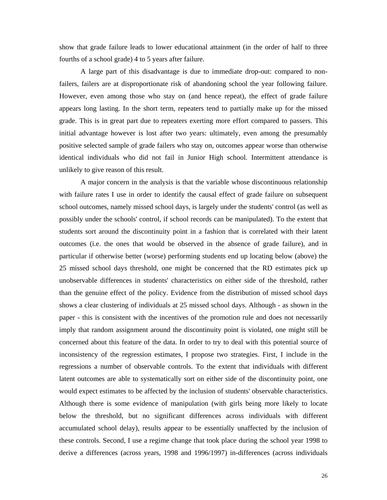show that grade failure leads to lower educational attainment (in the order of half to three fourths of a school grade) 4 to 5 years after failure.

A large part of this disadvantage is due to immediate drop-out: compared to nonfailers, failers are at disproportionate risk of abandoning school the year following failure. However, even among those who stay on (and hence repeat), the effect of grade failure appears long lasting. In the short term, repeaters tend to partially make up for the missed grade. This is in great part due to repeaters exerting more effort compared to passers. This initial advantage however is lost after two years: ultimately, even among the presumably positive selected sample of grade failers who stay on, outcomes appear worse than otherwise identical individuals who did not fail in Junior High school. Intermittent attendance is unlikely to give reason of this result.

A major concern in the analysis is that the variable whose discontinuous relationship with failure rates I use in order to identify the causal effect of grade failure on subsequent school outcomes, namely missed school days, is largely under the students' control (as well as possibly under the schools' control, if school records can be manipulated). To the extent that students sort around the discontinuity point in a fashion that is correlated with their latent outcomes (i.e. the ones that would be observed in the absence of grade failure), and in particular if otherwise better (worse) performing students end up locating below (above) the 25 missed school days threshold, one might be concerned that the RD estimates pick up unobservable differences in students' characteristics on either side of the threshold, rather than the genuine effect of the policy. Evidence from the distribution of missed school days shows a clear clustering of individuals at 25 missed school days. Although - as shown in the paper - this is consistent with the incentives of the promotion rule and does not necessarily imply that random assignment around the discontinuity point is violated, one might still be concerned about this feature of the data. In order to try to deal with this potential source of inconsistency of the regression estimates, I propose two strategies. First, I include in the regressions a number of observable controls. To the extent that individuals with different latent outcomes are able to systematically sort on either side of the discontinuity point, one would expect estimates to be affected by the inclusion of students' observable characteristics. Although there is some evidence of manipulation (with girls being more likely to locate below the threshold, but no significant differences across individuals with different accumulated school delay), results appear to be essentially unaffected by the inclusion of these controls. Second, I use a regime change that took place during the school year 1998 to derive a differences (across years, 1998 and 1996/1997) in-differences (across individuals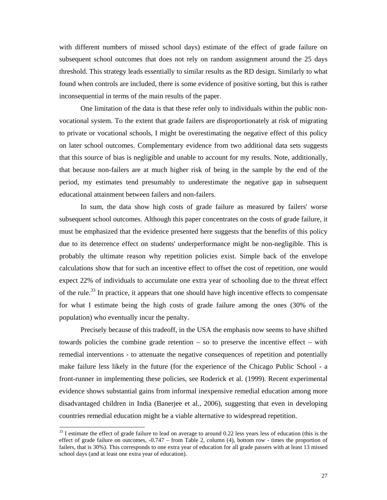with different numbers of missed school days) estimate of the effect of grade failure on subsequent school outcomes that does not rely on random assignment around the 25 days threshold. This strategy leads essentially to similar results as the RD design. Similarly to what found when controls are included, there is some evidence of positive sorting, but this is rather inconsequential in terms of the main results of the paper.

One limitation of the data is that these refer only to individuals within the public nonvocational system. To the extent that grade failers are disproportionately at risk of migrating to private or vocational schools, I might be overestimating the negative effect of this policy on later school outcomes. Complementary evidence from two additional data sets suggests that this source of bias is negligible and unable to account for my results. Note, additionally, that because non-failers are at much higher risk of being in the sample by the end of the period, my estimates tend presumably to underestimate the negative gap in subsequent educational attainment between failers and non-failers.

In sum, the data show high costs of grade failure as measured by failers' worse subsequent school outcomes. Although this paper concentrates on the costs of grade failure, it must be emphasized that the evidence presented here suggests that the benefits of this policy due to its deterrence effect on students' underperformance might be non-negligible. This is probably the ultimate reason why repetition policies exist. Simple back of the envelope calculations show that for such an incentive effect to offset the cost of repetition, one would expect 22% of individuals to accumulate one extra year of schooling due to the threat effect of the rule.<sup>33</sup> In practice, it appears that one should have high incentive effects to compensate for what I estimate being the high costs of grade failure among the ones (30% of the population) who eventually incur the penalty.

Precisely because of this tradeoff, in the USA the emphasis now seems to have shifted towards policies the combine grade retention – so to preserve the incentive effect – with remedial interventions - to attenuate the negative consequences of repetition and potentially make failure less likely in the future (for the experience of the Chicago Public School - a front-runner in implementing these policies, see Roderick et al. (1999). Recent experimental evidence shows substantial gains from informal inexpensive remedial education among more disadvantaged children in India (Banerjee et al., 2006), suggesting that even in developing countries remedial education might be a viable alternative to widespread repetition.

 $33$  I estimate the effect of grade failure to lead on average to around 0.22 less years less of education (this is the effect of grade failure on outcomes, -0.747 – from Table 2, column (4), bottom row - times the proportion of failers, that is 30%). This corresponds to one extra year of education for all grade passers with at least 13 missed school days (and at least one extra year of education).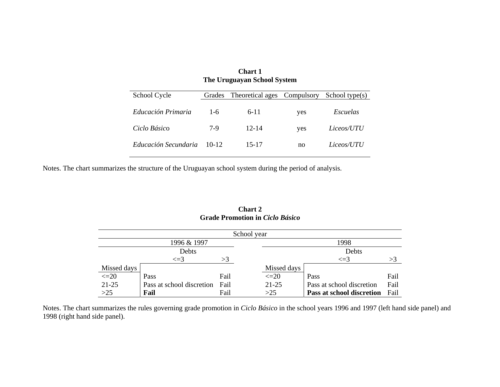| <b>Chart 1</b><br>The Uruguayan School System |         |                  |            |                   |  |  |  |  |  |  |
|-----------------------------------------------|---------|------------------|------------|-------------------|--|--|--|--|--|--|
| School Cycle                                  | Grades  | Theoretical ages | Compulsory | School type $(s)$ |  |  |  |  |  |  |
| Educación Primaria                            | $1 - 6$ | $6 - 11$         | yes        | Escuelas          |  |  |  |  |  |  |
| Ciclo Básico                                  | 7-9     | $12 - 14$        | yes        | Liceos/UTU        |  |  |  |  |  |  |
| Educación Secundaria                          | $10-12$ | 15-17            | no         | Liceos/UTU        |  |  |  |  |  |  |

Notes. The chart summarizes the structure of the Uruguayan school system during the period of analysis.

|             |                           |      | School year |                           |      |
|-------------|---------------------------|------|-------------|---------------------------|------|
|             | 1996 & 1997               |      |             | 1998                      |      |
|             | Debts                     |      |             | Debts                     |      |
|             | $\leq$ =3                 | >3   |             | $\leq$ =3                 | >3   |
| Missed days |                           |      | Missed days |                           |      |
| $\leq$ = 20 | Pass                      | Fail | $\leq$ 20   | Pass                      | Fail |
| $21 - 25$   | Pass at school discretion | Fail | 21-25       | Pass at school discretion | Fail |
| $>25$       | Fail                      | Fail | >25         | Pass at school discretion | Fail |

**Chart 2 Grade Promotion in** *Ciclo Básico*

Notes. The chart summarizes the rules governing grade promotion in *Ciclo Básico* in the school years 1996 and 1997 (left hand side panel) and 1998 (right hand side panel).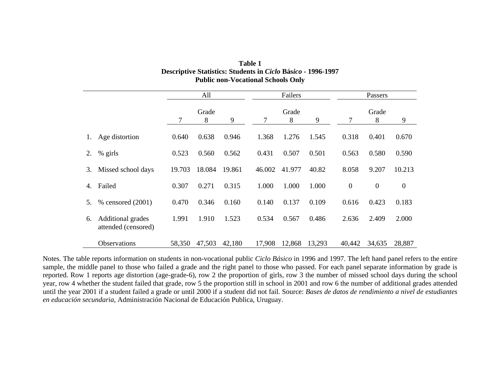| Table 1                                                             |
|---------------------------------------------------------------------|
| <b>Descriptive Statistics: Students in Ciclo Básico - 1996-1997</b> |
| <b>Public non-Vocational Schools Only</b>                           |

|    |                                          | All    |            |        |        | Failers    |        | Passers      |              |                  |  |
|----|------------------------------------------|--------|------------|--------|--------|------------|--------|--------------|--------------|------------------|--|
|    |                                          | 7      | Grade<br>8 | 9      | 7      | Grade<br>8 | 9      | 7            | Grade<br>8   | 9                |  |
|    | Age distortion                           | 0.640  | 0.638      | 0.946  | 1.368  | 1.276      | 1.545  | 0.318        | 0.401        | 0.670            |  |
| 2. | % girls                                  | 0.523  | 0.560      | 0.562  | 0.431  | 0.507      | 0.501  | 0.563        | 0.580        | 0.590            |  |
| 3. | Missed school days                       | 19.703 | 18.084     | 19.861 | 46.002 | 41.977     | 40.82  | 8.058        | 9.207        | 10.213           |  |
| 4. | Failed                                   | 0.307  | 0.271      | 0.315  | 1.000  | 1.000      | 1.000  | $\mathbf{0}$ | $\mathbf{0}$ | $\boldsymbol{0}$ |  |
| 5. | % censored (2001)                        | 0.470  | 0.346      | 0.160  | 0.140  | 0.137      | 0.109  | 0.616        | 0.423        | 0.183            |  |
| 6. | Additional grades<br>attended (censored) | 1.991  | 1.910      | 1.523  | 0.534  | 0.567      | 0.486  | 2.636        | 2.409        | 2.000            |  |
|    | <b>Observations</b>                      | 58,350 | 47,503     | 42,180 | 17,908 | 12,868     | 13,293 | 40,442       | 34,635       | 28,887           |  |

Notes. The table reports information on students in non-vocational public *Ciclo Básico* in 1996 and 1997. The left hand panel refers to the entire sample, the middle panel to those who failed a grade and the right panel to those who passed. For each panel separate information by grade is reported. Row 1 reports age distortion (age-grade-6), row 2 the proportion of girls, row 3 the number of missed school days during the school year, row 4 whether the student failed that grade, row 5 the proportion still in school in 2001 and row 6 the number of additional grades attended until the year 2001 if a student failed a grade or until 2000 if a student did not fail. Source: *Bases de datos de rendimiento a nivel de estudiantes en educación secundaria*, Administración Nacional de Educación Publica, Uruguay.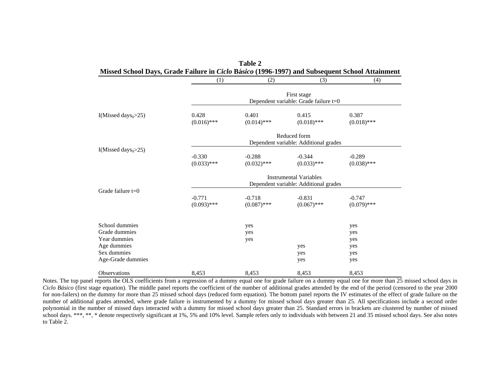|                                    | (1)                       | (2)                       | (3)                                                                    | (4)                       |
|------------------------------------|---------------------------|---------------------------|------------------------------------------------------------------------|---------------------------|
|                                    |                           |                           | First stage<br>Dependent variable: Grade failure t=0                   |                           |
| I(Missed days $_{0}$ >25)          | 0.428<br>$(0.016)$ ***    | 0.401<br>$(0.014)$ ***    | 0.415<br>$(0.018)$ ***                                                 | 0.387<br>$(0.018)$ ***    |
|                                    |                           |                           | Reduced form<br>Dependent variable: Additional grades                  |                           |
| I(Missed days <sub>0</sub> $>25$ ) | $-0.330$<br>$(0.033)$ *** | $-0.288$<br>$(0.032)$ *** | $-0.344$<br>$(0.033)$ ***                                              | $-0.289$<br>$(0.038)$ *** |
|                                    |                           |                           | <b>Instrumental Variables</b><br>Dependent variable: Additional grades |                           |
| Grade failure $t=0$                | $-0.771$<br>$(0.093)$ *** | $-0.718$<br>$(0.087)$ *** | $-0.831$<br>$(0.067)$ ***                                              | $-0.747$<br>$(0.079)$ *** |
| School dummies                     |                           | yes                       |                                                                        | yes                       |
| Grade dummies<br>Year dummies      |                           | yes                       |                                                                        | yes                       |
| Age dummies                        |                           | yes                       | yes                                                                    | yes<br>yes                |
| Sex dummies                        |                           |                           | yes                                                                    | yes                       |
| Age-Grade dummies                  |                           |                           | yes                                                                    | yes                       |
| <b>Observations</b>                | 8,453                     | 8,453                     | 8,453                                                                  | 8,453                     |

**Table 2** 

Notes. The top panel reports the OLS coefficients from a regression of a dummy equal one for grade failure on a dummy equal one for more than 25 missed school days in *Ciclo Básico* (first stage equation). The middle panel reports the coefficient of the number of additional grades attended by the end of the period (censored to the year 2000 for non-failers) on the dummy for more than 25 missed school days (reduced form equation). The bottom panel reports the IV estimates of the effect of grade failure on the number of additional grades attended, where grade failure is instrumented by a dummy for missed school days greater than 25. All specifications include a second order polynomial in the number of missed days interacted with a dummy for missed school days greater than 25. Standard errors in brackets are clustered by number of missed school days. \*\*\*, \*\*, \* denote respectively significant at 1%, 5% and 10% level. Sample refers only to individuals with between 21 and 35 missed school days. See also notes to Table 2.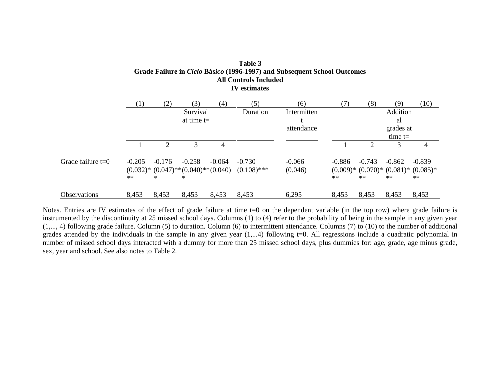| Table 3                                                                         |
|---------------------------------------------------------------------------------|
| Grade Failure in <i>Ciclo</i> Básico (1996-1997) and Subsequent School Outcomes |
| All Controls Included                                                           |
| <b>IV</b> estimates                                                             |

|                     |                  | (2)                | (3)                                                        | $\left( 4\right)$ | (5)                       | (6)                 | (7)              | (8)              | (9)              | (10)                                                          |
|---------------------|------------------|--------------------|------------------------------------------------------------|-------------------|---------------------------|---------------------|------------------|------------------|------------------|---------------------------------------------------------------|
|                     |                  |                    | Survival                                                   |                   | Duration                  | Intermitten         |                  |                  | Addition         |                                                               |
|                     |                  |                    | at time $t=$                                               |                   |                           |                     |                  |                  | al               |                                                               |
|                     |                  |                    |                                                            |                   |                           | attendance          |                  |                  | grades at        |                                                               |
|                     |                  |                    |                                                            |                   |                           |                     |                  |                  | time $t=$        |                                                               |
|                     |                  | ↑                  | 3                                                          | 4                 |                           |                     |                  |                  | 3                | 4                                                             |
| Grade failure $t=0$ | $-0.205$<br>$**$ | $-0.176$<br>$\ast$ | $-0.258$<br>$(0.032)^*$ $(0.047)^**(0.040)^**(0.040)$<br>* | $-0.064$          | $-0.730$<br>$(0.108)$ *** | $-0.066$<br>(0.046) | $-0.886$<br>$**$ | $-0.743$<br>$**$ | $-0.862$<br>$**$ | $-0.839$<br>$(0.009)*$ $(0.070)*$ $(0.081)*$ $(0.085)*$<br>** |
| <b>Observations</b> | 8,453            | 8,453              | 8,453                                                      | 8,453             | 8,453                     | 6,295               | 8,453            | 8,453            | 8,453            | 8,453                                                         |

Notes. Entries are IV estimates of the effect of grade failure at time t=0 on the dependent variable (in the top row) where grade failure is instrumented by the discontinuity at 25 missed school days. Columns (1) to (4) refer to the probability of being in the sample in any given year (1,..., 4) following grade failure. Column (5) to duration. Column (6) to intermittent attendance. Columns (7) to (10) to the number of additional grades attended by the individuals in the sample in any given year (1,...4) following t=0. All regressions include a quadratic polynomial in number of missed school days interacted with a dummy for more than 25 missed school days, plus dummies for: age, grade, age minus grade, sex, year and school. See also notes to Table 2.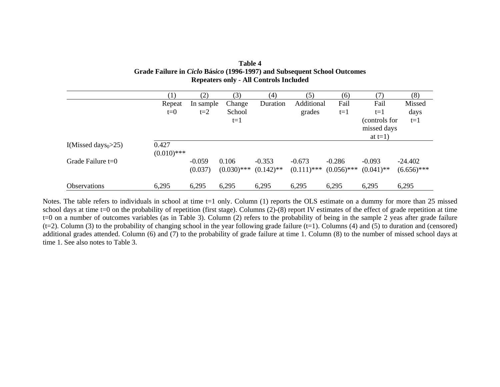| Table 4                                                                  |
|--------------------------------------------------------------------------|
| Grade Failure in Ciclo Básico (1996-1997) and Subsequent School Outcomes |
| <b>Repeaters only - All Controls Included</b>                            |

|                                    | $\left(1\right)$ | (2)       | (3)           | (4)          | (5)           | (6)           | 7)            | (8)           |
|------------------------------------|------------------|-----------|---------------|--------------|---------------|---------------|---------------|---------------|
|                                    | Repeat           | In sample | Change        | Duration     | Additional    | Fail          | Fail          | Missed        |
|                                    | $t=0$            | $t=2$     | School        |              | grades        | $t=1$         | $t=1$         | days          |
|                                    |                  |           | $t = 1$       |              |               |               | (controls for | $t=1$         |
|                                    |                  |           |               |              |               |               | missed days   |               |
|                                    |                  |           |               |              |               |               | at $t=1$ )    |               |
| I(Missed days <sub>0</sub> $>$ 25) | 0.427            |           |               |              |               |               |               |               |
|                                    | $(0.010)$ ***    |           |               |              |               |               |               |               |
| Grade Failure $t=0$                |                  | $-0.059$  | 0.106         | $-0.353$     | $-0.673$      | $-0.286$      | $-0.093$      | $-24.402$     |
|                                    |                  | (0.037)   | $(0.030)$ *** | $(0.142)$ ** | $(0.111)$ *** | $(0.056)$ *** | $(0.041)$ **  | $(6.656)$ *** |
|                                    |                  |           |               |              |               |               |               |               |
| <b>Observations</b>                | 6,295            | 6,295     | 6,295         | 6,295        | 6,295         | 6,295         | 6,295         | 6,295         |

Notes. The table refers to individuals in school at time t=1 only. Column (1) reports the OLS estimate on a dummy for more than 25 missed school days at time t=0 on the probability of repetition (first stage). Columns (2)-(8) report IV estimates of the effect of grade repetition at time t=0 on a number of outcomes variables (as in Table 3). Column (2) refers to the probability of being in the sample 2 yeas after grade failure  $(t=2)$ . Column (3) to the probability of changing school in the year following grade failure (t=1). Columns (4) and (5) to duration and (censored) additional grades attended. Column (6) and (7) to the probability of grade failure at time 1. Column (8) to the number of missed school days at time 1. See also notes to Table 3.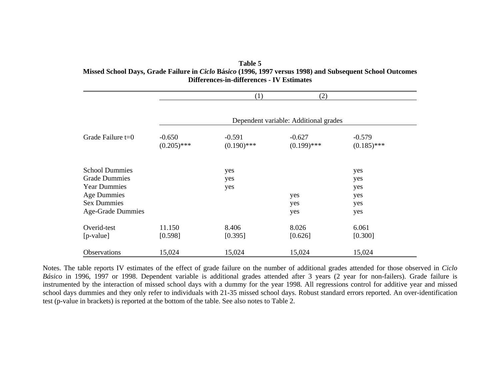**Table 5 Missed School Days, Grade Failure in** *Ciclo* **Bás***ico* **(1996, 1997 versus 1998) and Subsequent School Outcomes Differences-in-differences - IV Estimates** 

|                          |                                       | (1)                       | (2)                       |                           |  |  |  |  |  |  |
|--------------------------|---------------------------------------|---------------------------|---------------------------|---------------------------|--|--|--|--|--|--|
|                          | Dependent variable: Additional grades |                           |                           |                           |  |  |  |  |  |  |
| Grade Failure $t=0$      | $-0.650$<br>$(0.205)$ ***             | $-0.591$<br>$(0.190)$ *** | $-0.627$<br>$(0.199)$ *** | $-0.579$<br>$(0.185)$ *** |  |  |  |  |  |  |
| <b>School Dummies</b>    |                                       | yes                       |                           | yes                       |  |  |  |  |  |  |
| <b>Grade Dummies</b>     |                                       | yes                       |                           | yes                       |  |  |  |  |  |  |
| <b>Year Dummies</b>      |                                       | yes                       |                           | yes                       |  |  |  |  |  |  |
| <b>Age Dummies</b>       |                                       |                           | yes                       | yes                       |  |  |  |  |  |  |
| <b>Sex Dummies</b>       |                                       |                           | yes                       | yes                       |  |  |  |  |  |  |
| <b>Age-Grade Dummies</b> |                                       |                           | yes                       | yes                       |  |  |  |  |  |  |
| Overid-test              | 11.150                                | 8.406                     | 8.026                     | 6.061                     |  |  |  |  |  |  |
| [p-value]                | [0.598]                               | [0.395]                   | [0.626]                   | [0.300]                   |  |  |  |  |  |  |
| Observations             | 15,024                                | 15,024                    | 15,024                    | 15,024                    |  |  |  |  |  |  |

Notes. The table reports IV estimates of the effect of grade failure on the number of additional grades attended for those observed in *Ciclo Básico* in 1996, 1997 or 1998. Dependent variable is additional grades attended after 3 years (2 year for non-failers). Grade failure is instrumented by the interaction of missed school days with a dummy for the year 1998. All regressions control for additive year and missed school days dummies and they only refer to individuals with 21-35 missed school days. Robust standard errors reported. An over-identification test (p-value in brackets) is reported at the bottom of the table. See also notes to Table 2.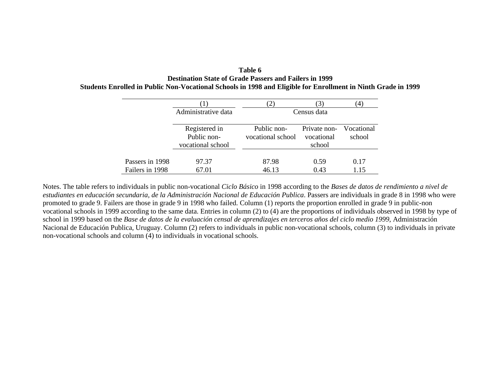**Table 6 Destination State of Grade Passers and Failers in 1999 Students Enrolled in Public Non-Vocational Schools in 1998 and Eligible for Enrollment in Ninth Grade in 1999** 

|                 | Administrative data          |                                  | Census data                |                      |
|-----------------|------------------------------|----------------------------------|----------------------------|----------------------|
|                 | Registered in<br>Public non- | Public non-<br>vocational school | Private non-<br>vocational | Vocational<br>school |
|                 | vocational school            |                                  | school                     |                      |
| Passers in 1998 | 97.37                        | 87.98                            | 0.59                       | 0.17                 |
| Failers in 1998 | 67.01                        | 46.13                            | 0.43                       | 1.15                 |

Notes. The table refers to individuals in public non-vocational *Ciclo Básico* in 1998 according to the *Bases de datos de rendimiento a nivel de estudiantes en educación secundaria, de la Administración Nacional de Educación Publica*. Passers are individuals in grade 8 in 1998 who were promoted to grade 9. Failers are those in grade 9 in 1998 who failed. Column (1) reports the proportion enrolled in grade 9 in public-non vocational schools in 1999 according to the same data. Entries in column (2) to (4) are the proportions of individuals observed in 1998 by type of school in 1999 based on the *Base de datos de la evaluación censal de aprendizajes en terceros años del ciclo medio 1999*, Administración Nacional de Educación Publica, Uruguay. Column (2) refers to individuals in public non-vocational schools, column (3) to individuals in private non-vocational schools and column (4) to individuals in vocational schools.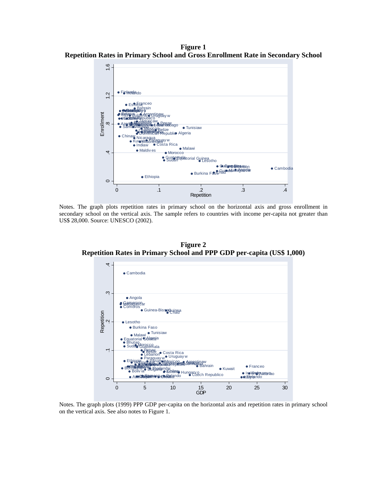**Figure 1 Repetition Rates in Primary School and Gross Enrollment Rate in Secondary School** 



Notes. The graph plots repetition rates in primary school on the horizontal axis and gross enrollment in secondary school on the vertical axis. The sample refers to countries with income per-capita not greater than US\$ 28,000. Source: UNESCO (2002).

**Figure 2 Repetition Rates in Primary School and PPP GDP per-capita (US\$ 1,000)** 



Notes. The graph plots (1999) PPP GDP per-capita on the horizontal axis and repetition rates in primary school on the vertical axis. See also notes to Figure 1.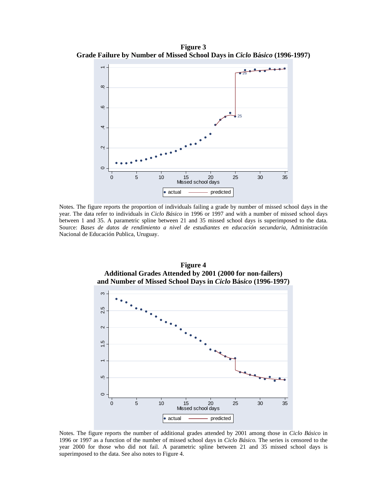**Figure 3 Grade Failure by Number of Missed School Days in** *Ciclo* **Bás***ico* **(1996-1997)** 



Notes. The figure reports the proportion of individuals failing a grade by number of missed school days in the year. The data refer to individuals in *Ciclo Básico* in 1996 or 1997 and with a number of missed school days between 1 and 35. A parametric spline between 21 and 35 missed school days is superimposed to the data. Source: *Bases de datos de rendimiento a nivel de estudiantes en educación secundaria,* Administración Nacional de Educación Publica, Uruguay.

**Figure 4** 



Notes. The figure reports the number of additional grades attended by 2001 among those in *Ciclo Básico* in 1996 or 1997 as a function of the number of missed school days in *Ciclo Básico.* The series is censored to the year 2000 for those who did not fail. A parametric spline between 21 and 35 missed school days is superimposed to the data. See also notes to Figure 4.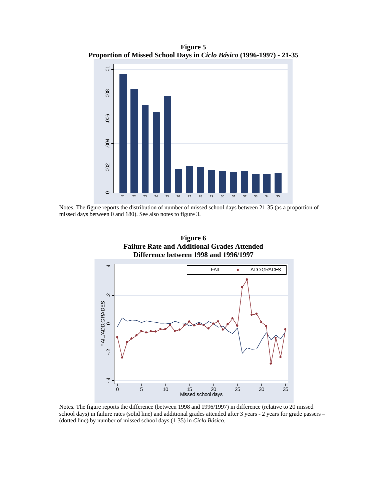**Figure 5 Proportion of Missed School Days in** *Ciclo Básico* **(1996-1997) - 21-35** 



Notes. The figure reports the distribution of number of missed school days between 21-35 (as a proportion of missed days between 0 and 180). See also notes to figure 3.



Notes. The figure reports the difference (between 1998 and 1996/1997) in difference (relative to 20 missed school days) in failure rates (solid line) and additional grades attended after 3 years - 2 years for grade passers – (dotted line) by number of missed school days (1-35) in *Ciclo Básico*.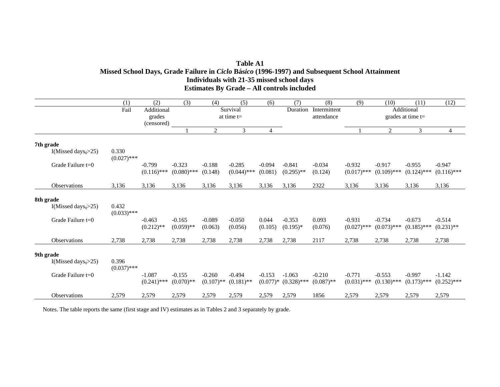#### **Table A1 Missed School Days, Grade Failure in** *Ciclo* **Bás***ico* **(1996-1997) and Subsequent School Attainment Individuals with 21-35 missed school days Estimates By Grade – All controls included**

|           |                           | (1)                    | (2)                                | (3)                       | (4)                      | (5)                       | (6)                 | (7)                                 | (8)                        | (9)                       | (10)                      | (11)                              | (12)                      |
|-----------|---------------------------|------------------------|------------------------------------|---------------------------|--------------------------|---------------------------|---------------------|-------------------------------------|----------------------------|---------------------------|---------------------------|-----------------------------------|---------------------------|
|           |                           | Fail                   | Additional<br>grades<br>(censored) |                           |                          | Survival<br>at time $t=$  |                     | Duration                            | Intermittent<br>attendance |                           |                           | Additional<br>grades at time $t=$ |                           |
|           |                           |                        |                                    |                           | $\overline{2}$           | $\mathfrak{Z}$            | 4                   |                                     |                            |                           | $\overline{2}$            | $\overline{3}$                    | 4                         |
| 7th grade |                           |                        |                                    |                           |                          |                           |                     |                                     |                            |                           |                           |                                   |                           |
|           | I(Missed days $_0$ >25)   | 0.330<br>$(0.027)$ *** |                                    |                           |                          |                           |                     |                                     |                            |                           |                           |                                   |                           |
|           | Grade Failure $t=0$       |                        | $-0.799$<br>$(0.116)$ ***          | $-0.323$<br>$(0.080)$ *** | $-0.188$<br>(0.148)      | $-0.285$<br>$(0.044)$ *** | $-0.094$<br>(0.081) | $-0.841$<br>$(0.295)$ **            | $-0.034$<br>(0.124)        | $-0.932$<br>$(0.017)$ *** | $-0.917$<br>$(0.109)$ *** | $-0.955$<br>$(0.124)$ ***         | $-0.947$<br>$(0.116)$ *** |
|           | <b>Observations</b>       | 3,136                  | 3,136                              | 3,136                     | 3,136                    | 3,136                     | 3,136               | 3,136                               | 2322                       | 3,136                     | 3,136                     | 3,136                             | 3,136                     |
| 8th grade |                           |                        |                                    |                           |                          |                           |                     |                                     |                            |                           |                           |                                   |                           |
|           | I(Missed days $_{0}$ >25) | 0.432<br>$(0.033)$ *** |                                    |                           |                          |                           |                     |                                     |                            |                           |                           |                                   |                           |
|           | Grade Failure $t=0$       |                        | $-0.463$<br>$(0.212)$ **           | $-0.165$<br>$(0.059)$ **  | $-0.089$<br>(0.063)      | $-0.050$<br>(0.056)       | 0.044<br>(0.105)    | $-0.353$<br>$(0.195)*$              | 0.093<br>(0.076)           | $-0.931$<br>$(0.027)$ *** | $-0.734$<br>$(0.073)$ *** | $-0.673$<br>$(0.185)$ ***         | $-0.514$<br>$(0.231)$ **  |
|           | <b>Observations</b>       | 2,738                  | 2,738                              | 2,738                     | 2,738                    | 2,738                     | 2,738               | 2,738                               | 2117                       | 2,738                     | 2,738                     | 2,738                             | 2,738                     |
| 9th grade |                           |                        |                                    |                           |                          |                           |                     |                                     |                            |                           |                           |                                   |                           |
|           | I(Missed days $_{0}$ >25) | 0.396<br>$(0.037)$ *** |                                    |                           |                          |                           |                     |                                     |                            |                           |                           |                                   |                           |
|           | Grade Failure t=0         |                        | $-1.087$<br>$(0.241)$ ***          | $-0.155$<br>$(0.070)**$   | $-0.260$<br>$(0.107)$ ** | $-0.494$<br>$(0.181)$ **  | $-0.153$            | $-1.063$<br>$(0.077)*$ $(0.328)***$ | $-0.210$<br>$(0.087)$ **   | $-0.771$<br>$(0.031)$ *** | $-0.553$<br>$(0.130)$ *** | $-0.997$<br>$(0.173)$ ***         | $-1.142$<br>$(0.252)$ *** |
|           | <b>Observations</b>       | 2,579                  | 2,579                              | 2,579                     | 2,579                    | 2,579                     | 2,579               | 2,579                               | 1856                       | 2,579                     | 2,579                     | 2,579                             | 2,579                     |

Notes. The table reports the same (first stage and IV) estimates as in Tables 2 and 3 separately by grade.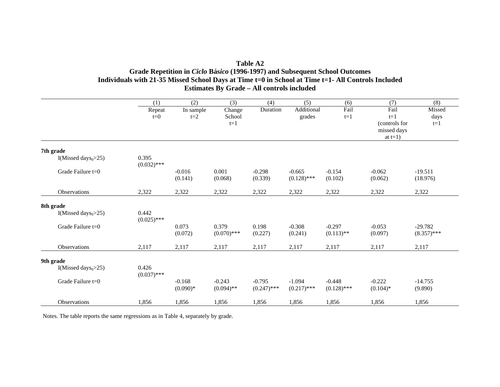| Table A2                                                                                           |
|----------------------------------------------------------------------------------------------------|
| Grade Repetition in <i>Ciclo</i> Básico (1996-1997) and Subsequent School Outcomes                 |
| Individuals with 21-35 Missed School Days at Time t=0 in School at Time t=1- All Controls Included |
| <b>Estimates By Grade – All controls included</b>                                                  |

|                         | (1)                    | (2)                    | (3)                       | (4)                       | (5)                       | (6)                       | (7)                            | (8)                        |
|-------------------------|------------------------|------------------------|---------------------------|---------------------------|---------------------------|---------------------------|--------------------------------|----------------------------|
|                         | Repeat<br>$t=0$        | In sample<br>$t=2$     | Change<br>School<br>$t=1$ | Duration                  | Additional<br>grades      | Fail<br>$t=1$             | Fail<br>$t=1$<br>(controls for | Missed<br>days<br>$t=1$    |
|                         |                        |                        |                           |                           |                           |                           | missed days<br>at $t=1$ )      |                            |
| 7th grade               |                        |                        |                           |                           |                           |                           |                                |                            |
| I(Missed days $_0$ >25) | 0.395<br>$(0.032)$ *** |                        |                           |                           |                           |                           |                                |                            |
| Grade Failure $t=0$     |                        | $-0.016$<br>(0.141)    | 0.001<br>(0.068)          | $-0.298$<br>(0.339)       | $-0.665$<br>$(0.128)$ *** | $-0.154$<br>(0.102)       | $-0.062$<br>(0.062)            | $-19.511$<br>(18.976)      |
| <b>Observations</b>     | 2,322                  | 2,322                  | 2,322                     | 2,322                     | 2,322                     | 2,322                     | 2,322                          | 2,322                      |
| 8th grade               |                        |                        |                           |                           |                           |                           |                                |                            |
| I(Missed days $_0$ >25) | 0.442<br>$(0.025)$ *** |                        |                           |                           |                           |                           |                                |                            |
| Grade Failure t=0       |                        | 0.073<br>(0.072)       | 0.379<br>$(0.070)$ ***    | 0.198<br>(0.227)          | $-0.308$<br>(0.241)       | $-0.297$<br>$(0.113)$ **  | $-0.053$<br>(0.097)            | $-29.782$<br>$(8.357)$ *** |
| <b>Observations</b>     | 2,117                  | 2,117                  | 2,117                     | 2,117                     | 2,117                     | 2,117                     | 2,117                          | 2,117                      |
| 9th grade               |                        |                        |                           |                           |                           |                           |                                |                            |
| I(Missed days $_0$ >25) | 0.426<br>$(0.037)$ *** |                        |                           |                           |                           |                           |                                |                            |
| Grade Failure $t=0$     |                        | $-0.168$<br>$(0.090)*$ | $-0.243$<br>$(0.094)$ **  | $-0.795$<br>$(0.247)$ *** | $-1.094$<br>$(0.217)$ *** | $-0.448$<br>$(0.128)$ *** | $-0.222$<br>$(0.104)$ *        | $-14.755$<br>(9.890)       |
| <b>Observations</b>     | 1,856                  | 1,856                  | 1,856                     | 1,856                     | 1,856                     | 1,856                     | 1,856                          | 1,856                      |

Notes. The table reports the same regressions as in Table 4, separately by grade.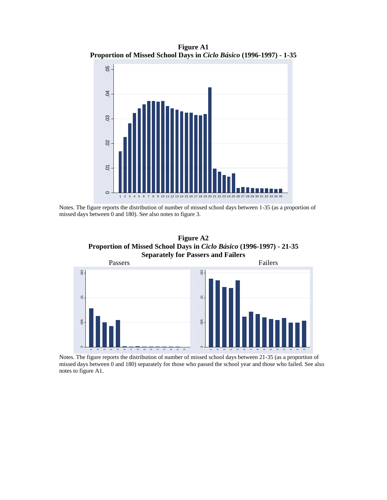**Figure A1 Proportion of Missed School Days in** *Ciclo Básico* **(1996-1997) - 1-35** 



Notes. The figure reports the distribution of number of missed school days between 1-35 (as a proportion of missed days between 0 and 180). See also notes to figure 3.

**Figure A2 Proportion of Missed School Days in** *Ciclo Básico* **(1996-1997) - 21-35 Separately for Passers and Failers** 



 Notes. The figure reports the distribution of number of missed school days between 21-35 (as a proportion of missed days between 0 and 180) separately for those who passed the school year and those who failed. See also notes to figure A1.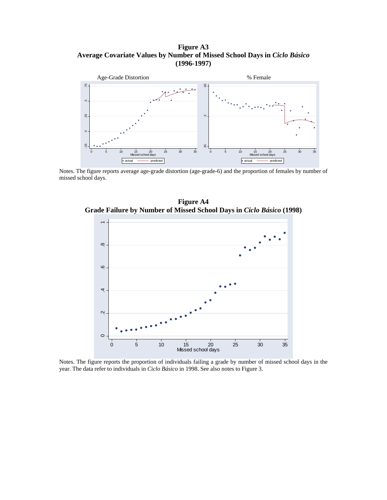**Figure A3 Average Covariate Values by Number of Missed School Days in** *Ciclo Básico*  **(1996-1997)** 



Notes. The figure reports average age-grade distortion (age-grade-6) and the proportion of females by number of missed school days.



**Figure A4** 

Notes. The figure reports the proportion of individuals failing a grade by number of missed school days in the year. The data refer to individuals in *Ciclo Básico* in 1998. See also notes to Figure 3.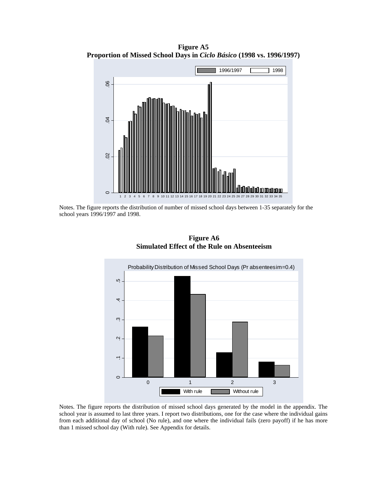**Figure A5 Proportion of Missed School Days in** *Ciclo Básico* **(1998 vs. 1996/1997)** 



Notes. The figure reports the distribution of number of missed school days between 1-35 separately for the school years 1996/1997 and 1998.



**Figure A6 Simulated Effect of the Rule on Absenteeism** 

Notes. The figure reports the distribution of missed school days generated by the model in the appendix. The school year is assumed to last three years. I report two distributions, one for the case where the individual gains from each additional day of school (No rule), and one where the individual fails (zero payoff) if he has more than 1 missed school day (With rule). See Appendix for details.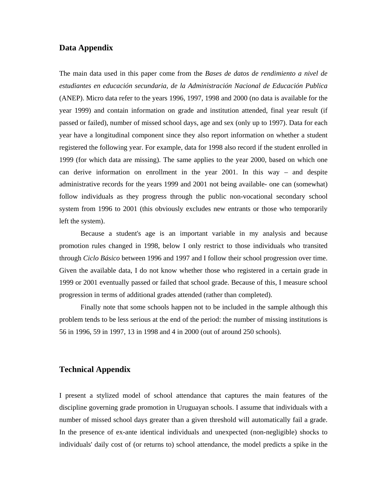#### **Data Appendix**

The main data used in this paper come from the *Bases de datos de rendimiento a nivel de estudiantes en educación secundaria, de la Administración Nacional de Educación Publica* (ANEP). Micro data refer to the years 1996, 1997, 1998 and 2000 (no data is available for the year 1999) and contain information on grade and institution attended, final year result (if passed or failed), number of missed school days, age and sex (only up to 1997). Data for each year have a longitudinal component since they also report information on whether a student registered the following year. For example, data for 1998 also record if the student enrolled in 1999 (for which data are missing). The same applies to the year 2000, based on which one can derive information on enrollment in the year 2001. In this way – and despite administrative records for the years 1999 and 2001 not being available- one can (somewhat) follow individuals as they progress through the public non-vocational secondary school system from 1996 to 2001 (this obviously excludes new entrants or those who temporarily left the system).

Because a student's age is an important variable in my analysis and because promotion rules changed in 1998, below I only restrict to those individuals who transited through *Ciclo Básico* between 1996 and 1997 and I follow their school progression over time. Given the available data, I do not know whether those who registered in a certain grade in 1999 or 2001 eventually passed or failed that school grade. Because of this, I measure school progression in terms of additional grades attended (rather than completed).

Finally note that some schools happen not to be included in the sample although this problem tends to be less serious at the end of the period: the number of missing institutions is 56 in 1996, 59 in 1997, 13 in 1998 and 4 in 2000 (out of around 250 schools).

#### **Technical Appendix**

I present a stylized model of school attendance that captures the main features of the discipline governing grade promotion in Uruguayan schools. I assume that individuals with a number of missed school days greater than a given threshold will automatically fail a grade. In the presence of ex-ante identical individuals and unexpected (non-negligible) shocks to individuals' daily cost of (or returns to) school attendance, the model predicts a spike in the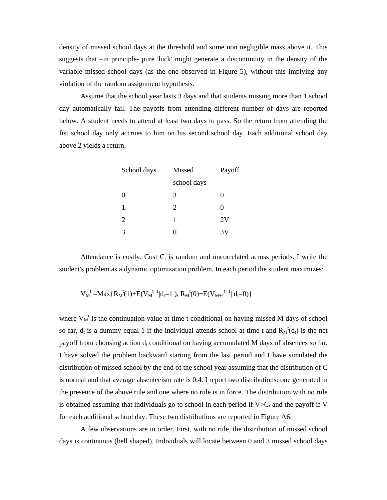density of missed school days at the threshold and some non negligible mass above it. This suggests that –in principle- pure 'luck' might generate a discontinuity in the density of the variable missed school days (as the one observed in Figure 5), without this implying any violation of the random assignment hypothesis.

Assume that the school year lasts 3 days and that students missing more than 1 school day automatically fail. The payoffs from attending different number of days are reported below. A student needs to attend at least two days to pass. So the return from attending the fist school day only accrues to him on his second school day. Each additional school day above 2 yields a return.

| School days | Missed      | Payoff |
|-------------|-------------|--------|
|             | school days |        |
| ∩           | 3           |        |
|             | 2           | 0      |
| 2           |             | 2V     |
| 3           |             | 3V     |

Attendance is costly. Cost  $C_t$  is random and uncorrelated across periods. I write the student's problem as a dynamic optimization problem. In each period the student maximizes:

$$
{V_M}^t\!=\!\!Max\{R_M{}^t(1)\!+\!E({V_M}^{t+1}|d_t\!\!=\!\!1\),\,R_M{}^t(0)\!+\!E({V_{M+1}}^{t+1}|~d_t\!\!=\!\!0)\}
$$

where  $V_M^t$  is the continuation value at time t conditional on having missed M days of school so far,  $d_t$  is a dummy equal 1 if the individual attends school at time t and  $R_M^t(d_t)$  is the net payoff from choosing action  $d_t$  conditional on having accumulated M days of absences so far. I have solved the problem backward starting from the last period and I have simulated the distribution of missed school by the end of the school year assuming that the distribution of C is normal and that average absenteeism rate is 0.4. I report two distributions: one generated in the presence of the above rule and one where no rule is in force. The distribution with no rule is obtained assuming that individuals go to school in each period if  $V>C_t$  and the payoff if V for each additional school day. These two distributions are reported in Figure A6.

A few observations are in order. First, with no rule, the distribution of missed school days is continuous (bell shaped). Individuals will locate between 0 and 3 missed school days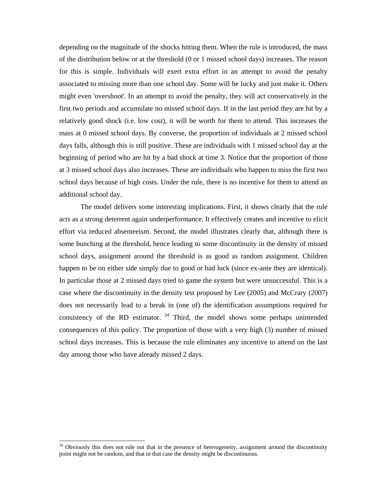depending on the magnitude of the shocks hitting them. When the rule is introduced, the mass of the distribution below or at the threshold (0 or 1 missed school days) increases. The reason for this is simple. Individuals will exert extra effort in an attempt to avoid the penalty associated to missing more than one school day. Some will be lucky and just make it. Others might even 'overshoot'. In an attempt to avoid the penalty, they will act conservatively in the first two periods and accumulate no missed school days. If in the last period they are hit by a relatively good shock (i.e. low cost), it will be worth for them to attend. This increases the mass at 0 missed school days. By converse, the proportion of individuals at 2 missed school days falls, although this is still positive. These are individuals with 1 missed school day at the beginning of period who are hit by a bad shock at time 3. Notice that the proportion of those at 3 missed school days also increases. These are individuals who happen to miss the first two school days because of high costs. Under the rule, there is no incentive for them to attend an additional school day.

The model delivers some interesting implications. First, it shows clearly that the rule acts as a strong deterrent again underperformance. It effectively creates and incentive to elicit effort via reduced absenteeism. Second, the model illustrates clearly that, although there is some bunching at the threshold, hence leading to some discontinuity in the density of missed school days, assignment around the threshold is as good as random assignment. Children happen to be on either side simply due to good or bad luck (since ex-ante they are identical). In particular those at 2 missed days tried to game the system but were unsuccessful. This is a case where the discontinuity in the density test proposed by Lee (2005) and McCrary (2007) does not necessarily lead to a break in (one of) the identification assumptions required for consistency of the RD estimator.  $34$  Third, the model shows some perhaps unintended consequences of this policy. The proportion of those with a very high (3) number of missed school days increases. This is because the rule eliminates any incentive to attend on the last day among those who have already missed 2 days.

<sup>&</sup>lt;sup>34</sup> Obviously this does not rule out that in the presence of heterogeneity, assignment around the discontinuity point might not be random, and that in that case the density might be discontinuous.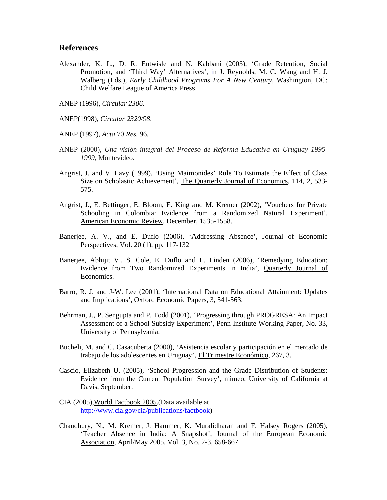#### **References**

- Alexander, K. L., D. R. Entwisle and N. Kabbani (2003), 'Grade Retention, Social Promotion, and 'Third Way' Alternatives', in J. Reynolds, M. C. Wang and H. J. Walberg (Eds.), *Early Childhood Programs For A New Century*, Washington, DC: Child Welfare League of America Press.
- ANEP (1996), *Circular 2306*.
- ANEP(1998), *Circular 2320/98*.
- ANEP (1997)*, Acta* 70 *Res.* 96.
- ANEP (2000), *Una visión integral del Proceso de Reforma Educativa en Uruguay 1995- 1999*, Montevideo.
- Angrist, J. and V. Lavy (1999), 'Using Maimonides' Rule To Estimate the Effect of Class Size on Scholastic Achievement', The Quarterly Journal of Economics, 114, 2, 533- 575.
- Angrist, J., E. Bettinger, E. Bloom, E. King and M. Kremer (2002), 'Vouchers for Private Schooling in Colombia: Evidence from a Randomized Natural Experiment', American Economic Review, December, 1535-1558.
- Banerjee, A. V., and E. Duflo (2006), 'Addressing Absence', Journal of Economic Perspectives, Vol. 20 (1), pp. 117-132
- Banerjee, Abhijit V., S. Cole, E. Duflo and L. Linden (2006), 'Remedying Education: Evidence from Two Randomized Experiments in India'*,* Quarterly Journal of Economics.
- Barro, R. J. and J-W. Lee (2001), 'International Data on Educational Attainment: Updates and Implications', Oxford Economic Papers, 3, 541-563.
- Behrman, J., P. Sengupta and P. Todd (2001), 'Progressing through PROGRESA: An Impact Assessment of a School Subsidy Experiment', Penn Institute Working Paper, No. 33, University of Pennsylvania.
- Bucheli, M. and C. Casacuberta (2000), 'Asistencia escolar y participación en el mercado de trabajo de los adolescentes en Uruguay', El Trimestre Económico, 267, 3.
- Cascio, Elizabeth U. (2005), 'School Progression and the Grade Distribution of Students: Evidence from the Current Population Survey', mimeo, University of California at Davis, September.
- CIA (2005),World Factbook 2005.(Data available at http://www.cia.gov/cia/publications/factbook)
- Chaudhury, N., M. Kremer, J. Hammer, K. Muralidharan and F. Halsey Rogers (2005), 'Teacher Absence in India: A Snapshot', Journal of the European Economic Association, April/May 2005, Vol. 3, No. 2-3, 658-667.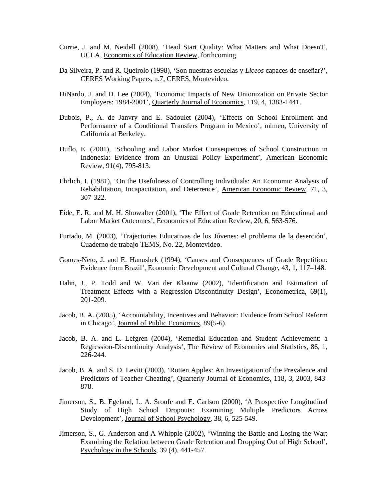- Currie, J. and M. Neidell (2008), 'Head Start Quality: What Matters and What Doesn't', UCLA, Economics of Education Review, forthcoming.
- Da Silveira, P. and R. Queirolo (1998), 'Son nuestras escuelas y *Liceos* capaces de enseñar?', CERES Working Papers, n.7, CERES, Montevideo.
- DiNardo, J. and D. Lee (2004), 'Economic Impacts of New Unionization on Private Sector Employers: 1984-2001', Quarterly Journal of Economics, 119, 4, 1383-1441.
- Dubois, P., A. de Janvry and E. Sadoulet (2004), 'Effects on School Enrollment and Performance of a Conditional Transfers Program in Mexico', mimeo, University of California at Berkeley.
- Duflo, E. (2001), 'Schooling and Labor Market Consequences of School Construction in Indonesia: Evidence from an Unusual Policy Experiment', American Economic Review, 91(4), 795-813.
- Ehrlich, I. (1981), 'On the Usefulness of Controlling Individuals: An Economic Analysis of Rehabilitation, Incapacitation, and Deterrence', American Economic Review, 71, 3, 307-322.
- Eide, E. R. and M. H. Showalter (2001), 'The Effect of Grade Retention on Educational and Labor Market Outcomes', Economics of Education Review, 20, 6, 563-576.
- Furtado, M. (2003), 'Trajectories Educativas de los Jóvenes: el problema de la deserción', Cuaderno de trabajo TEMS, No. 22, Montevideo.
- Gomes-Neto, J. and E. Hanushek (1994), 'Causes and Consequences of Grade Repetition: Evidence from Brazil', Economic Development and Cultural Change, 43, 1, 117–148.
- Hahn, J., P. Todd and W. Van der Klaauw (2002), 'Identification and Estimation of Treatment Effects with a Regression-Discontinuity Design', Econometrica, 69(1), 201-209.
- Jacob, B. A. (2005), 'Accountability, Incentives and Behavior: Evidence from School Reform in Chicago', Journal of Public Economics, 89(5-6).
- Jacob, B. A. and L. Lefgren (2004), 'Remedial Education and Student Achievement: a Regression-Discontinuity Analysis', The Review of Economics and Statistics, 86, 1, 226-244.
- Jacob, B. A. and S. D. Levitt (2003), 'Rotten Apples: An Investigation of the Prevalence and Predictors of Teacher Cheating', Quarterly Journal of Economics, 118, 3, 2003, 843- 878.
- Jimerson, S., B. Egeland, L. A. Sroufe and E. Carlson (2000), 'A Prospective Longitudinal Study of High School Dropouts: Examining Multiple Predictors Across Development', Journal of School Psychology*,* 38, 6, 525-549.
- Jimerson, S., G. Anderson and A Whipple (2002), 'Winning the Battle and Losing the War: Examining the Relation between Grade Retention and Dropping Out of High School', Psychology in the Schools, 39 (4), 441-457.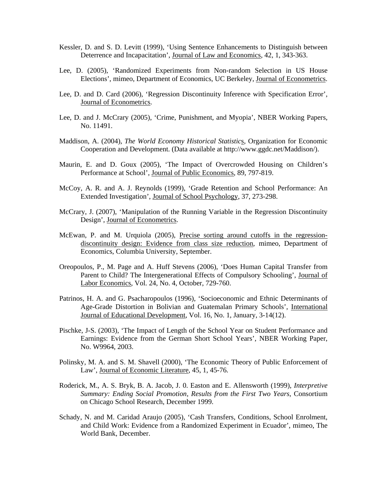- Kessler, D. and S. D. Levitt (1999), 'Using Sentence Enhancements to Distinguish between Deterrence and Incapacitation', Journal of Law and Economics, 42, 1, 343-363.
- Lee, D. (2005), 'Randomized Experiments from Non-random Selection in US House Elections', mimeo, Department of Economics, UC Berkeley, Journal of Econometrics.
- Lee, D. and D. Card (2006), 'Regression Discontinuity Inference with Specification Error', Journal of Econometrics.
- Lee, D. and J. McCrary (2005), 'Crime, Punishment, and Myopia', NBER Working Papers, No. 11491.
- Maddison, A. (2004), *The World Economy Historical Statistic*s, Organization for Economic Cooperation and Development. (Data available at http://www.ggdc.net/Maddison/).
- Maurin, E. and D. Goux (2005), 'The Impact of Overcrowded Housing on Children's Performance at School', Journal of Public Economics, 89, 797-819.
- McCoy, A. R. and A. J. Reynolds (1999), 'Grade Retention and School Performance: An Extended Investigation', Journal of School Psychology, 37, 273-298.
- McCrary, J. (2007), 'Manipulation of the Running Variable in the Regression Discontinuity Design', Journal of Econometrics.
- McEwan, P. and M. Urquiola (2005), Precise sorting around cutoffs in the regressiondiscontinuity design: Evidence from class size reduction, mimeo, Department of Economics, Columbia University, September.
- Oreopoulos, P., M. Page and A. Huff Stevens (2006), 'Does Human Capital Transfer from Parent to Child? The Intergenerational Effects of Compulsory Schooling', Journal of Labor Economics, Vol. 24, No. 4, October, 729-760.
- Patrinos, H. A. and G. Psacharopoulos (1996), 'Socioeconomic and Ethnic Determinants of Age-Grade Distortion in Bolivian and Guatemalan Primary Schools', International Journal of Educational Development, Vol. 16, No. 1, January, 3-14(12).
- Pischke, J-S. (2003), 'The Impact of Length of the School Year on Student Performance and Earnings: Evidence from the German Short School Years', NBER Working Paper, No. W9964, 2003.
- Polinsky, M. A. and S. M. Shavell (2000), 'The Economic Theory of Public Enforcement of Law', Journal of Economic Literature, 45, 1, 45-76.
- Roderick, M., A. S. Bryk, B. A. Jacob, J. 0. Easton and E. Allensworth (1999), *Interpretive Summary: Ending Social Promotion, Results from the First Two Years*, Consortium on Chicago School Research, December 1999.
- Schady, N. and M. Caridad Araujo (2005), 'Cash Transfers, Conditions, School Enrolment, and Child Work: Evidence from a Randomized Experiment in Ecuador', mimeo, The World Bank, December.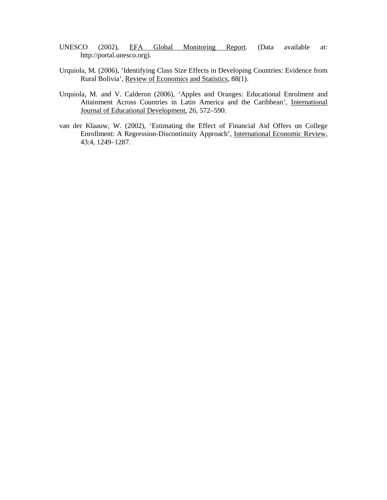- UNESCO (2002), EFA Global Monitoring Report. (Data available at: http://portal.unesco.org).
- Urquiola, M. (2006), 'Identifying Class Size Effects in Developing Countries: Evidence from Rural Bolivia', Review of Economics and Statistics, 88(1).
- Urquiola, M. and V. Calderon (2006), 'Apples and Oranges: Educational Enrolment and Attainment Across Countries in Latin America and the Caribbean', International Journal of Educational Development, 26, 572–590.
- van der Klaauw, W. (2002), 'Estimating the Effect of Financial Aid Offers on College Enrollment: A Regression-Discontinuity Approach', International Economic Review, 43:4, 1249–1287.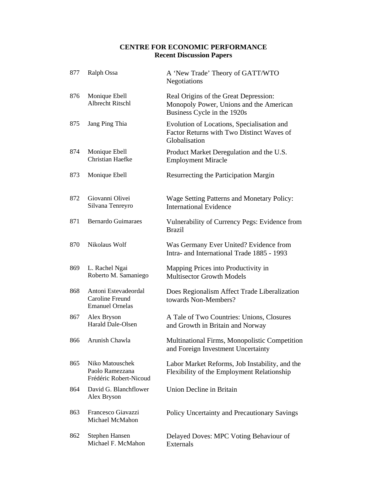### **CENTRE FOR ECONOMIC PERFORMANCE Recent Discussion Papers**

| 877 | Ralph Ossa                                                        | A 'New Trade' Theory of GATT/WTO<br>Negotiations                                                                |
|-----|-------------------------------------------------------------------|-----------------------------------------------------------------------------------------------------------------|
| 876 | Monique Ebell<br>Albrecht Ritschl                                 | Real Origins of the Great Depression:<br>Monopoly Power, Unions and the American<br>Business Cycle in the 1920s |
| 875 | Jang Ping Thia                                                    | Evolution of Locations, Specialisation and<br>Factor Returns with Two Distinct Waves of<br>Globalisation        |
| 874 | Monique Ebell<br>Christian Haefke                                 | Product Market Deregulation and the U.S.<br><b>Employment Miracle</b>                                           |
| 873 | Monique Ebell                                                     | Resurrecting the Participation Margin                                                                           |
| 872 | Giovanni Olivei<br>Silvana Tenreyro                               | Wage Setting Patterns and Monetary Policy:<br><b>International Evidence</b>                                     |
| 871 | <b>Bernardo Guimaraes</b>                                         | Vulnerability of Currency Pegs: Evidence from<br><b>Brazil</b>                                                  |
| 870 | Nikolaus Wolf                                                     | Was Germany Ever United? Evidence from<br>Intra- and International Trade 1885 - 1993                            |
| 869 | L. Rachel Ngai<br>Roberto M. Samaniego                            | Mapping Prices into Productivity in<br><b>Multisector Growth Models</b>                                         |
| 868 | Antoni Estevadeordal<br>Caroline Freund<br><b>Emanuel Ornelas</b> | Does Regionalism Affect Trade Liberalization<br>towards Non-Members?                                            |
| 867 | Alex Bryson<br>Harald Dale-Olsen                                  | A Tale of Two Countries: Unions, Closures<br>and Growth in Britain and Norway                                   |
| 866 | Arunish Chawla                                                    | Multinational Firms, Monopolistic Competition<br>and Foreign Investment Uncertainty                             |
| 865 | Niko Matouschek<br>Paolo Ramezzana<br>Frédéric Robert-Nicoud      | Labor Market Reforms, Job Instability, and the<br>Flexibility of the Employment Relationship                    |
| 864 | David G. Blanchflower<br>Alex Bryson                              | Union Decline in Britain                                                                                        |
| 863 | Francesco Giavazzi<br>Michael McMahon                             | Policy Uncertainty and Precautionary Savings                                                                    |
| 862 | Stephen Hansen<br>Michael F. McMahon                              | Delayed Doves: MPC Voting Behaviour of<br>Externals                                                             |